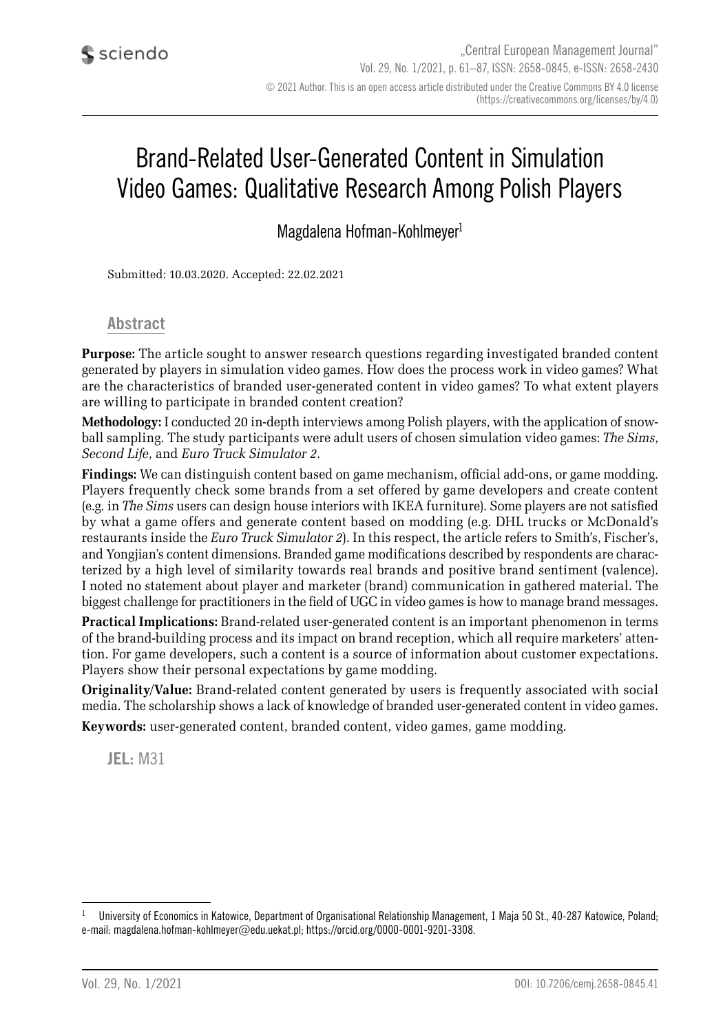# Brand-Related User-Generated Content in Simulation Video Games: Qualitative Research Among Polish Players

Magdalena Hofman-Kohlmeyer<sup>1</sup>

Submitted: 10.03.2020. Accepted: 22.02.2021

#### **Abstract**

**Purpose:** The article sought to answer research questions regarding investigated branded content generated by players in simulation video games. How does the process work in video games? What are the characteristics of branded user-generated content in video games? To what extent players are willing to participate in branded content creation?

**Methodology:** I conducted 20 in-depth interviews among Polish players, with the application of snowball sampling. The study participants were adult users of chosen simulation video games: *The Sims*, *Second Life*, and *Euro Truck Simulator 2*.

**Findings:** We can distinguish content based on game mechanism, official add-ons, or game modding. Players frequently check some brands from a set offered by game developers and create content (e.g. in *The Sims* users can design house interiors with IKEA furniture). Some players are not satisfied by what a game offers and generate content based on modding (e.g. DHL trucks or McDonald's restaurants inside the *Euro Truck Simulator 2*). In this respect, the article refers to Smith's, Fischer's, and Yongjian's content dimensions. Branded game modifications described by respondents are characterized by a high level of similarity towards real brands and positive brand sentiment (valence). I noted no statement about player and marketer (brand) communication in gathered material. The biggest challenge for practitioners in the field of UGC in video games is how to manage brand messages.

**Practical Implications:** Brand-related user-generated content is an important phenomenon in terms of the brand-building process and its impact on brand reception, which all require marketers' attention. For game developers, such a content is a source of information about customer expectations. Players show their personal expectations by game modding.

**Originality/Value:** Brand-related content generated by users is frequently associated with social media. The scholarship shows a lack of knowledge of branded user-generated content in video games. **Keywords:** user-generated content, branded content, video games, game modding.

**JEL:** M31

University of Economics in Katowice, Department of Organisational Relationship Management, 1 Maja 50 St., 40-287 Katowice, Poland; e-mail: magdalena.hofman-kohlmeyer@edu.uekat.pl; https://orcid.org/0000-0001-9201-3308.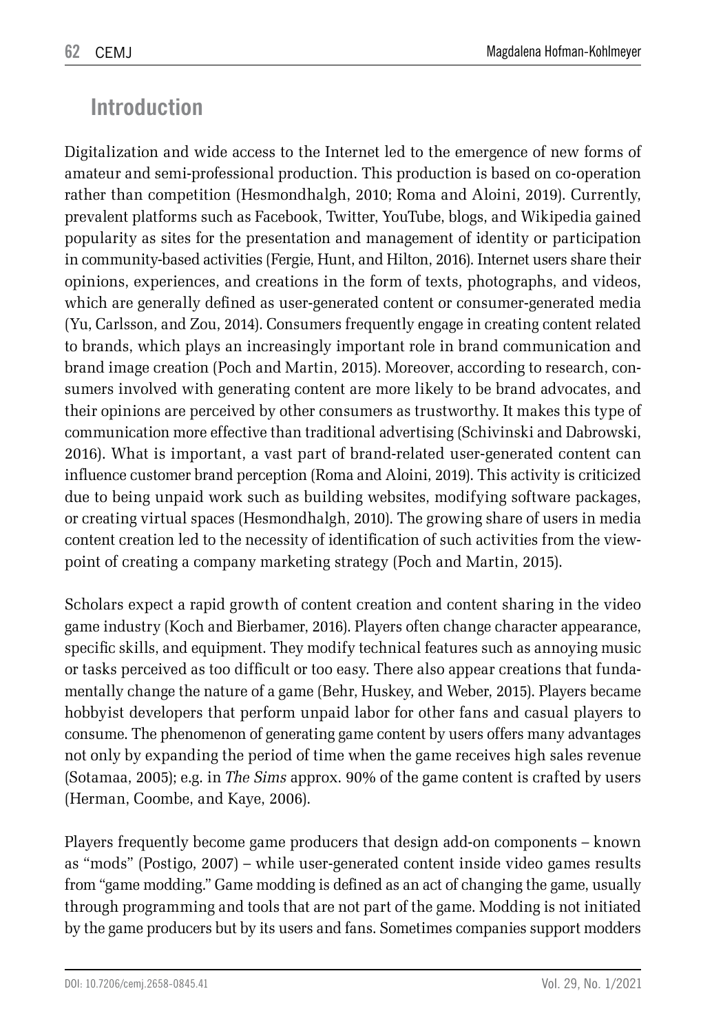### **Introduction**

Digitalization and wide access to the Internet led to the emergence of new forms of amateur and semi-professional production. This production is based on co-operation rather than competition (Hesmondhalgh, 2010; Roma and Aloini, 2019). Currently, prevalent platforms such as Facebook, Twitter, YouTube, blogs, and Wikipedia gained popularity as sites for the presentation and management of identity or participation in community-based activities (Fergie, Hunt, and Hilton, 2016). Internet users share their opinions, experiences, and creations in the form of texts, photographs, and videos, which are generally defined as user-generated content or consumer-generated media (Yu, Carlsson, and Zou, 2014). Consumers frequently engage in creating content related to brands, which plays an increasingly important role in brand communication and brand image creation (Poch and Martin, 2015). Moreover, according to research, consumers involved with generating content are more likely to be brand advocates, and their opinions are perceived by other consumers as trustworthy. It makes this type of communication more effective than traditional advertising (Schivinski and Dabrowski, 2016). What is important, a vast part of brand-related user-generated content can influence customer brand perception (Roma and Aloini, 2019). This activity is criticized due to being unpaid work such as building websites, modifying software packages, or creating virtual spaces (Hesmondhalgh, 2010). The growing share of users in media content creation led to the necessity of identification of such activities from the viewpoint of creating a company marketing strategy (Poch and Martin, 2015).

Scholars expect a rapid growth of content creation and content sharing in the video game industry (Koch and Bierbamer, 2016). Players often change character appearance, specific skills, and equipment. They modify technical features such as annoying music or tasks perceived as too difficult or too easy. There also appear creations that fundamentally change the nature of a game (Behr, Huskey, and Weber, 2015). Players became hobbyist developers that perform unpaid labor for other fans and casual players to consume. The phenomenon of generating game content by users offers many advantages not only by expanding the period of time when the game receives high sales revenue (Sotamaa, 2005); e.g. in *The Sims* approx. 90% of the game content is crafted by users (Herman, Coombe, and Kaye, 2006).

Players frequently become game producers that design add-on components – known as "mods" (Postigo, 2007) – while user-generated content inside video games results from "game modding." Game modding is defined as an act of changing the game, usually through programming and tools that are not part of the game. Modding is not initiated by the game producers but by its users and fans. Sometimes companies support modders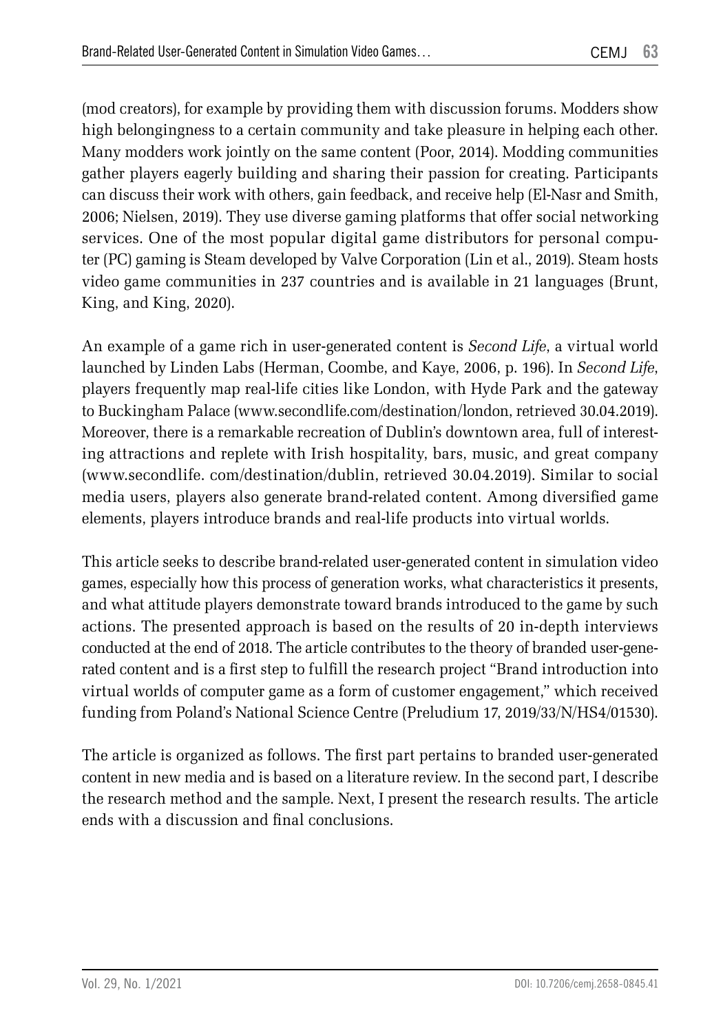(mod creators), for example by providing them with discussion forums. Modders show high belongingness to a certain community and take pleasure in helping each other. Many modders work jointly on the same content (Poor, 2014). Modding communities gather players eagerly building and sharing their passion for creating. Participants can discuss their work with others, gain feedback, and receive help (El-Nasr and Smith, 2006; Nielsen, 2019). They use diverse gaming platforms that offer social networking services. One of the most popular digital game distributors for personal computer (PC) gaming is Steam developed by Valve Corporation (Lin et al., 2019). Steam hosts video game communities in 237 countries and is available in 21 languages (Brunt, King, and King, 2020).

An example of a game rich in user-generated content is *Second Life*, a virtual world launched by Linden Labs (Herman, Coombe, and Kaye, 2006, p. 196). In *Second Life*, players frequently map real-life cities like London, with Hyde Park and the gateway to Buckingham Palace (www.secondlife.com/destination/london, retrieved 30.04.2019). Moreover, there is a remarkable recreation of Dublin's downtown area, full of interesting attractions and replete with Irish hospitality, bars, music, and great company (www.secondlife. com/destination/dublin, retrieved 30.04.2019). Similar to social media users, players also generate brand-related content. Among diversified game elements, players introduce brands and real-life products into virtual worlds.

This article seeks to describe brand-related user-generated content in simulation video games, especially how this process of generation works, what characteristics it presents, and what attitude players demonstrate toward brands introduced to the game by such actions. The presented approach is based on the results of 20 in-depth interviews conducted at the end of 2018. The article contributes to the theory of branded user-generated content and is a first step to fulfill the research project "Brand introduction into virtual worlds of computer game as a form of customer engagement," which received funding from Poland's National Science Centre (Preludium 17, 2019/33/N/HS4/01530).

The article is organized as follows. The first part pertains to branded user-generated content in new media and is based on a literature review. In the second part, I describe the research method and the sample. Next, I present the research results. The article ends with a discussion and final conclusions.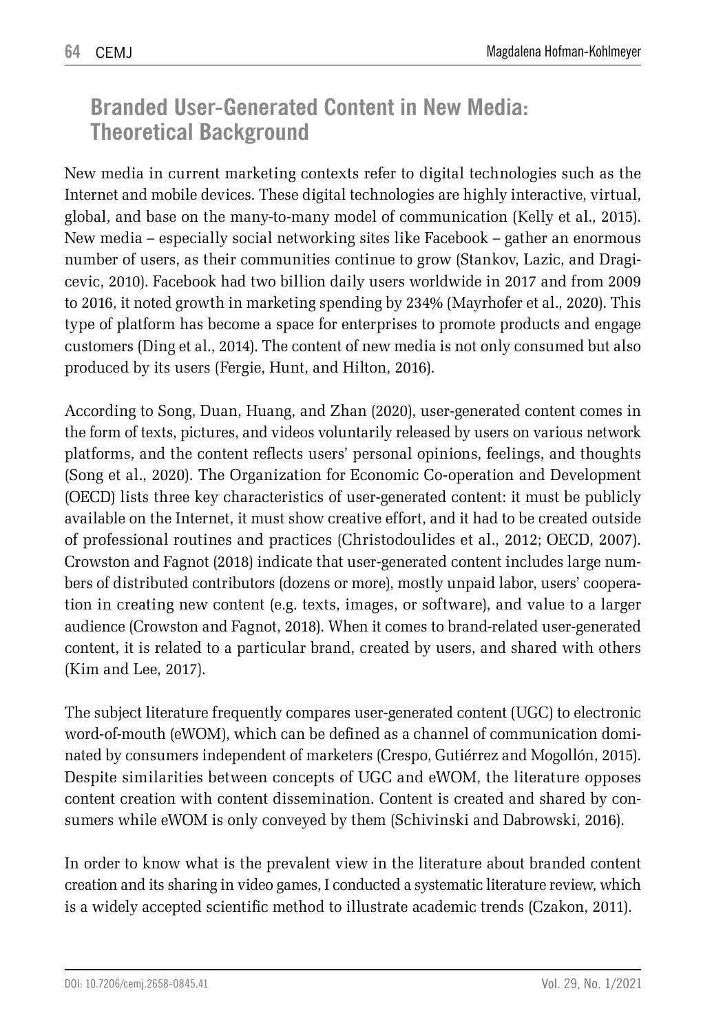### **Branded User-Generated Content in New Media: Theoretical Background**

New media in current marketing contexts refer to digital technologies such as the Internet and mobile devices. These digital technologies are highly interactive, virtual, global, and base on the many-to-many model of communication (Kelly et al., 2015). New media – especially social networking sites like Facebook – gather an enormous number of users, as their communities continue to grow (Stankov, Lazic, and Dragicevic, 2010). Facebook had two billion daily users worldwide in 2017 and from 2009 to 2016, it noted growth in marketing spending by 234% (Mayrhofer et al., 2020). This type of platform has become a space for enterprises to promote products and engage customers (Ding et al., 2014). The content of new media is not only consumed but also produced by its users (Fergie, Hunt, and Hilton, 2016).

According to Song, Duan, Huang, and Zhan (2020), user-generated content comes in the form of texts, pictures, and videos voluntarily released by users on various network platforms, and the content reflects users' personal opinions, feelings, and thoughts (Song et al., 2020). The Organization for Economic Co-operation and Development (OECD) lists three key characteristics of user-generated content: it must be publicly available on the Internet, it must show creative effort, and it had to be created outside of professional routines and practices (Christodoulides et al., 2012; OECD, 2007). Crowston and Fagnot (2018) indicate that user-generated content includes large numbers of distributed contributors (dozens or more), mostly unpaid labor, users' cooperation in creating new content (e.g. texts, images, or software), and value to a larger audience (Crowston and Fagnot, 2018). When it comes to brand-related user-generated content, it is related to a particular brand, created by users, and shared with others (Kim and Lee, 2017).

The subject literature frequently compares user-generated content (UGC) to electronic word-of-mouth (eWOM), which can be defined as a channel of communication dominated by consumers independent of marketers (Crespo, Gutiérrez and Mogollón, 2015). Despite similarities between concepts of UGC and eWOM, the literature opposes content creation with content dissemination. Content is created and shared by consumers while eWOM is only conveyed by them (Schivinski and Dabrowski, 2016).

In order to know what is the prevalent view in the literature about branded content creation and its sharing in video games, I conducted a systematic literature review, which is a widely accepted scientific method to illustrate academic trends (Czakon, 2011).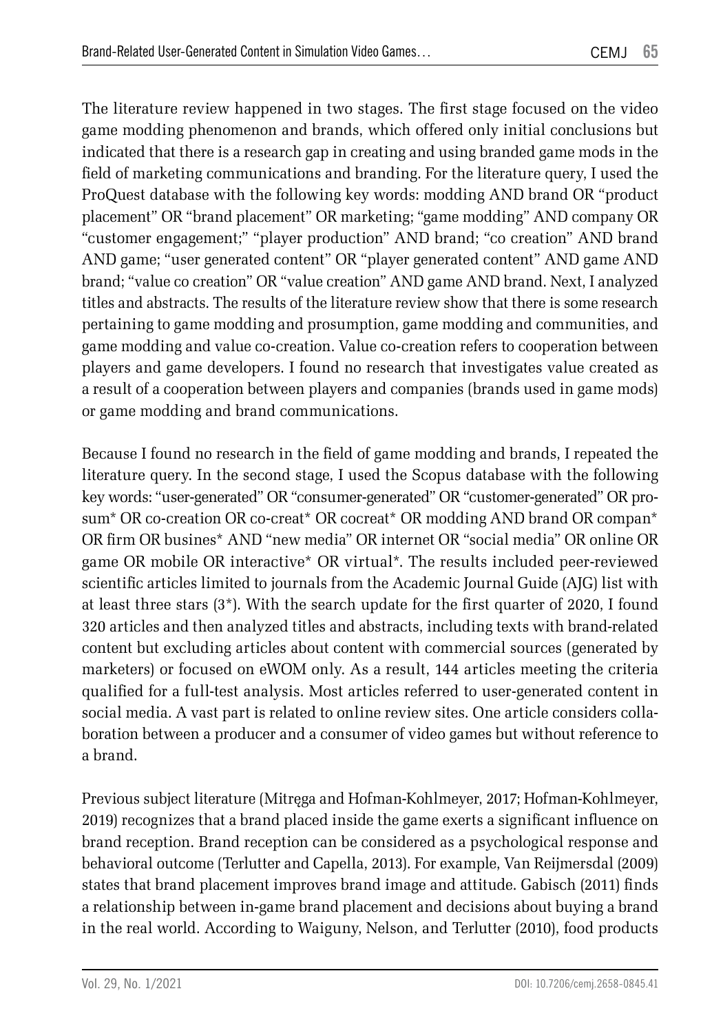The literature review happened in two stages. The first stage focused on the video game modding phenomenon and brands, which offered only initial conclusions but indicated that there is a research gap in creating and using branded game mods in the field of marketing communications and branding. For the literature query, I used the ProQuest database with the following key words: modding AND brand OR "product placement" OR "brand placement" OR marketing; "game modding" AND company OR "customer engagement;" "player production" AND brand; "co creation" AND brand AND game; "user generated content" OR "player generated content" AND game AND brand; "value co creation" OR "value creation" AND game AND brand. Next, I analyzed titles and abstracts. The results of the literature review show that there is some research pertaining to game modding and prosumption, game modding and communities, and game modding and value co-creation. Value co-creation refers to cooperation between players and game developers. I found no research that investigates value created as a result of a cooperation between players and companies (brands used in game mods) or game modding and brand communications.

Because I found no research in the field of game modding and brands, I repeated the literature query. In the second stage, I used the Scopus database with the following key words: "user-generated" OR "consumer-generated" OR "customer-generated" OR prosum\* OR co-creation OR co-creat\* OR cocreat\* OR modding AND brand OR compan\* OR firm OR busines\* AND "new media" OR internet OR "social media" OR online OR game OR mobile OR interactive\* OR virtual\*. The results included peer-reviewed scientific articles limited to journals from the Academic Journal Guide (AJG) list with at least three stars (3\*). With the search update for the first quarter of 2020, I found 320 articles and then analyzed titles and abstracts, including texts with brand-related content but excluding articles about content with commercial sources (generated by marketers) or focused on eWOM only. As a result, 144 articles meeting the criteria qualified for a full-test analysis. Most articles referred to user-generated content in social media. A vast part is related to online review sites. One article considers collaboration between a producer and a consumer of video games but without reference to a brand.

Previous subject literature (Mitręga and Hofman-Kohlmeyer, 2017; Hofman-Kohlmeyer, 2019) recognizes that a brand placed inside the game exerts a significant influence on brand reception. Brand reception can be considered as a psychological response and behavioral outcome (Terlutter and Capella, 2013). For example, Van Reijmersdal (2009) states that brand placement improves brand image and attitude. Gabisch (2011) finds a relationship between in-game brand placement and decisions about buying a brand in the real world. According to Waiguny, Nelson, and Terlutter (2010), food products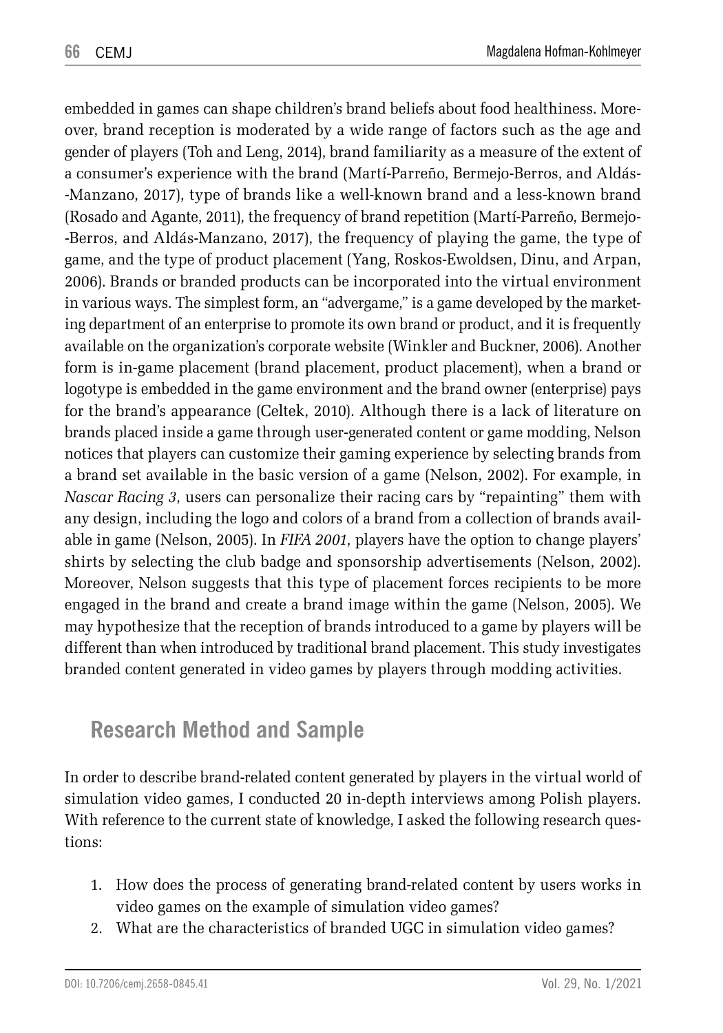embedded in games can shape children's brand beliefs about food healthiness. Moreover, brand reception is moderated by a wide range of factors such as the age and gender of players (Toh and Leng, 2014), brand familiarity as a measure of the extent of a consumer's experience with the brand (Martí-Parreño, Bermejo-Berros, and Aldás- -Manzano, 2017), type of brands like a well-known brand and a less-known brand (Rosado and Agante, 2011), the frequency of brand repetition (Martí-Parreño, Bermejo- -Berros, and Aldás-Manzano, 2017), the frequency of playing the game, the type of game, and the type of product placement (Yang, Roskos-Ewoldsen, Dinu, and Arpan, 2006). Brands or branded products can be incorporated into the virtual environment in various ways. The simplest form, an "advergame," is a game developed by the marketing department of an enterprise to promote its own brand or product, and it is frequently available on the organization's corporate website (Winkler and Buckner, 2006). Another form is in-game placement (brand placement, product placement), when a brand or logotype is embedded in the game environment and the brand owner (enterprise) pays for the brand's appearance (Celtek, 2010). Although there is a lack of literature on brands placed inside a game through user-generated content or game modding, Nelson notices that players can customize their gaming experience by selecting brands from a brand set available in the basic version of a game (Nelson, 2002). For example, in *Nascar Racing 3*, users can personalize their racing cars by "repainting" them with any design, including the logo and colors of a brand from a collection of brands available in game (Nelson, 2005). In *FIFA 2001*, players have the option to change players' shirts by selecting the club badge and sponsorship advertisements (Nelson, 2002). Moreover, Nelson suggests that this type of placement forces recipients to be more engaged in the brand and create a brand image within the game (Nelson, 2005). We may hypothesize that the reception of brands introduced to a game by players will be different than when introduced by traditional brand placement. This study investigates branded content generated in video games by players through modding activities.

### **Research Method and Sample**

In order to describe brand-related content generated by players in the virtual world of simulation video games, I conducted 20 in-depth interviews among Polish players. With reference to the current state of knowledge, I asked the following research questions:

- 1. How does the process of generating brand-related content by users works in video games on the example of simulation video games?
- 2. What are the characteristics of branded UGC in simulation video games?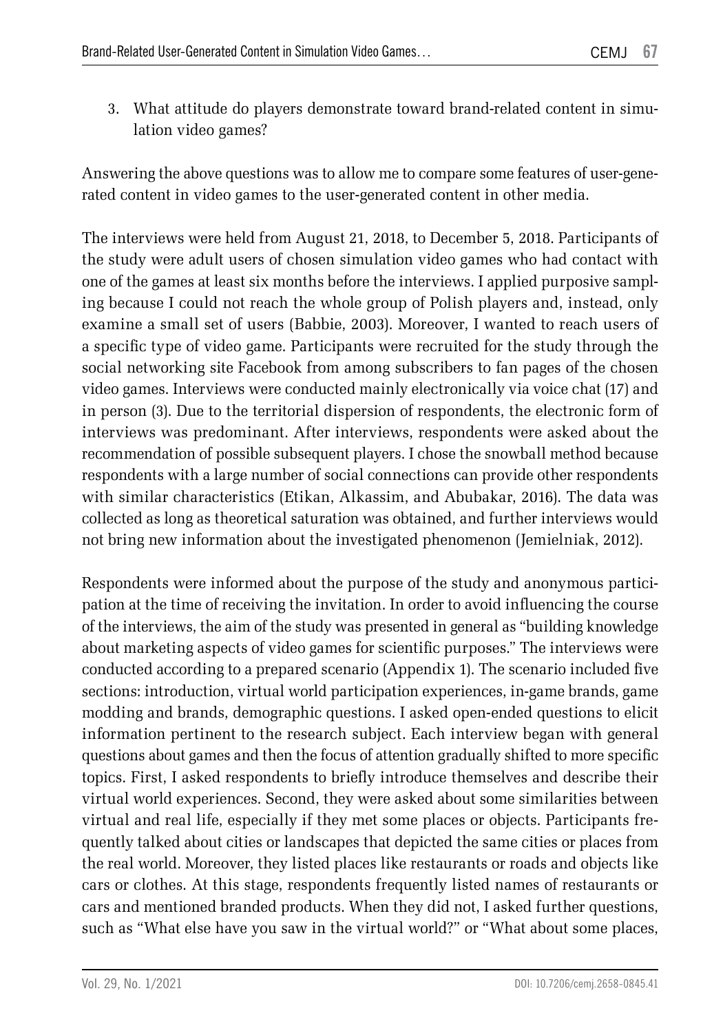3. What attitude do players demonstrate toward brand-related content in simulation video games?

Answering the above questions was to allow me to compare some features of user-generated content in video games to the user-generated content in other media.

The interviews were held from August 21, 2018, to December 5, 2018. Participants of the study were adult users of chosen simulation video games who had contact with one of the games at least six months before the interviews. I applied purposive sampling because I could not reach the whole group of Polish players and, instead, only examine a small set of users (Babbie, 2003). Moreover, I wanted to reach users of a specific type of video game. Participants were recruited for the study through the social networking site Facebook from among subscribers to fan pages of the chosen video games. Interviews were conducted mainly electronically via voice chat (17) and in person (3). Due to the territorial dispersion of respondents, the electronic form of interviews was predominant. After interviews, respondents were asked about the recommendation of possible subsequent players. I chose the snowball method because respondents with a large number of social connections can provide other respondents with similar characteristics (Etikan, Alkassim, and Abubakar, 2016). The data was collected as long as theoretical saturation was obtained, and further interviews would not bring new information about the investigated phenomenon (Jemielniak, 2012).

Respondents were informed about the purpose of the study and anonymous participation at the time of receiving the invitation. In order to avoid influencing the course of the interviews, the aim of the study was presented in general as "building knowledge about marketing aspects of video games for scientific purposes." The interviews were conducted according to a prepared scenario (Appendix 1). The scenario included five sections: introduction, virtual world participation experiences, in-game brands, game modding and brands, demographic questions. I asked open-ended questions to elicit information pertinent to the research subject. Each interview began with general questions about games and then the focus of attention gradually shifted to more specific topics. First, I asked respondents to briefly introduce themselves and describe their virtual world experiences. Second, they were asked about some similarities between virtual and real life, especially if they met some places or objects. Participants frequently talked about cities or landscapes that depicted the same cities or places from the real world. Moreover, they listed places like restaurants or roads and objects like cars or clothes. At this stage, respondents frequently listed names of restaurants or cars and mentioned branded products. When they did not, I asked further questions, such as "What else have you saw in the virtual world?" or "What about some places,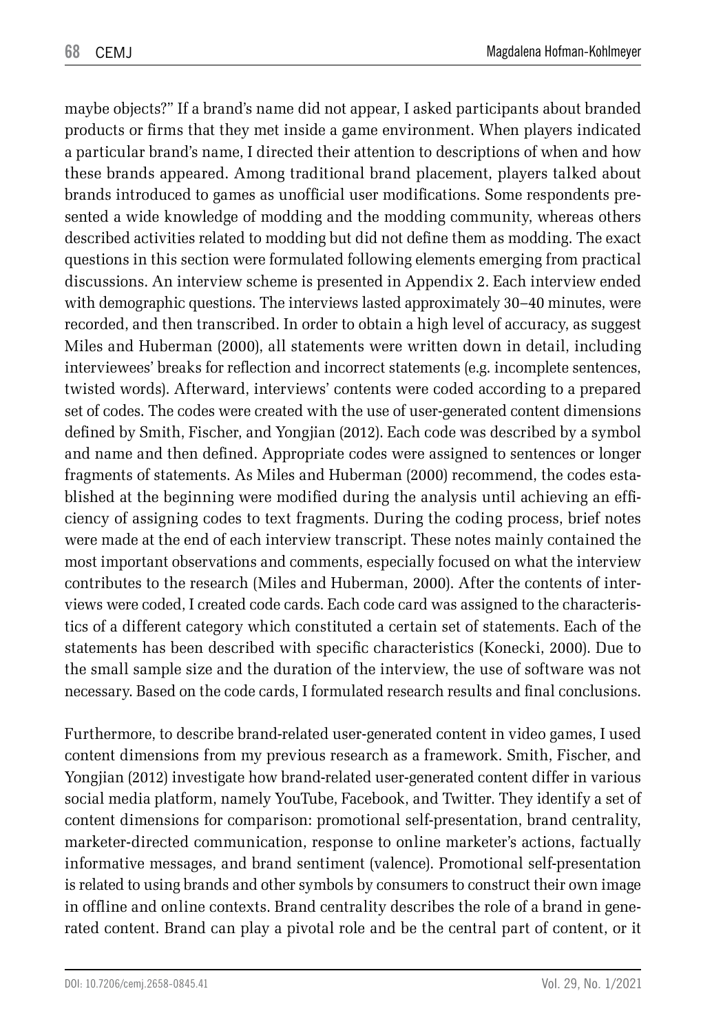maybe objects?" If a brand's name did not appear, I asked participants about branded products or firms that they met inside a game environment. When players indicated a particular brand's name, I directed their attention to descriptions of when and how these brands appeared. Among traditional brand placement, players talked about brands introduced to games as unofficial user modifications. Some respondents presented a wide knowledge of modding and the modding community, whereas others described activities related to modding but did not define them as modding. The exact questions in this section were formulated following elements emerging from practical discussions. An interview scheme is presented in Appendix 2. Each interview ended with demographic questions. The interviews lasted approximately 30–40 minutes, were recorded, and then transcribed. In order to obtain a high level of accuracy, as suggest Miles and Huberman (2000), all statements were written down in detail, including interviewees' breaks for reflection and incorrect statements (e.g. incomplete sentences, twisted words). Afterward, interviews' contents were coded according to a prepared set of codes. The codes were created with the use of user-generated content dimensions defined by Smith, Fischer, and Yongjian (2012). Each code was described by a symbol and name and then defined. Appropriate codes were assigned to sentences or longer fragments of statements. As Miles and Huberman (2000) recommend, the codes established at the beginning were modified during the analysis until achieving an efficiency of assigning codes to text fragments. During the coding process, brief notes were made at the end of each interview transcript. These notes mainly contained the most important observations and comments, especially focused on what the interview contributes to the research (Miles and Huberman, 2000). After the contents of interviews were coded, I created code cards. Each code card was assigned to the characteristics of a different category which constituted a certain set of statements. Each of the statements has been described with specific characteristics (Konecki, 2000). Due to the small sample size and the duration of the interview, the use of software was not necessary. Based on the code cards, I formulated research results and final conclusions.

Furthermore, to describe brand-related user-generated content in video games, I used content dimensions from my previous research as a framework. Smith, Fischer, and Yongjian (2012) investigate how brand-related user-generated content differ in various social media platform, namely YouTube, Facebook, and Twitter. They identify a set of content dimensions for comparison: promotional self-presentation, brand centrality, marketer-directed communication, response to online marketer's actions, factually informative messages, and brand sentiment (valence). Promotional self-presentation is related to using brands and other symbols by consumers to construct their own image in offline and online contexts. Brand centrality describes the role of a brand in generated content. Brand can play a pivotal role and be the central part of content, or it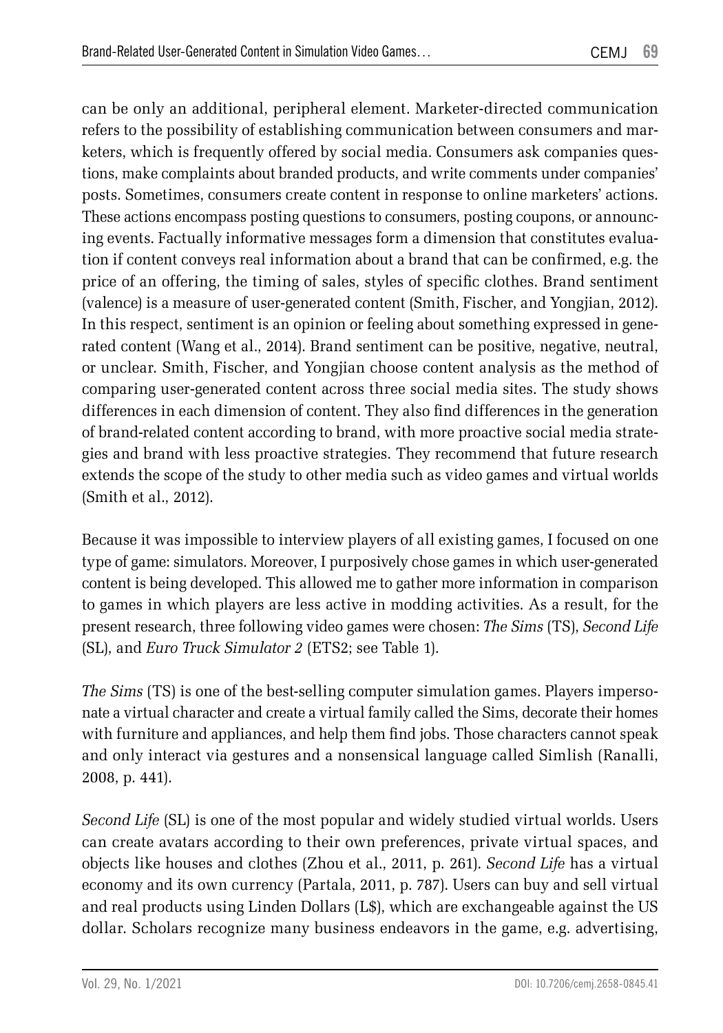can be only an additional, peripheral element. Marketer-directed communication refers to the possibility of establishing communication between consumers and marketers, which is frequently offered by social media. Consumers ask companies questions, make complaints about branded products, and write comments under companies' posts. Sometimes, consumers create content in response to online marketers' actions. These actions encompass posting questions to consumers, posting coupons, or announcing events. Factually informative messages form a dimension that constitutes evaluation if content conveys real information about a brand that can be confirmed, e.g. the price of an offering, the timing of sales, styles of specific clothes. Brand sentiment (valence) is a measure of user-generated content (Smith, Fischer, and Yongjian, 2012). In this respect, sentiment is an opinion or feeling about something expressed in generated content (Wang et al., 2014). Brand sentiment can be positive, negative, neutral, or unclear. Smith, Fischer, and Yongjian choose content analysis as the method of comparing user-generated content across three social media sites. The study shows differences in each dimension of content. They also find differences in the generation of brand-related content according to brand, with more proactive social media strategies and brand with less proactive strategies. They recommend that future research extends the scope of the study to other media such as video games and virtual worlds (Smith et al., 2012).

Because it was impossible to interview players of all existing games, I focused on one type of game: simulators. Moreover, I purposively chose games in which user-generated content is being developed. This allowed me to gather more information in comparison to games in which players are less active in modding activities. As a result, for the present research, three following video games were chosen: *The Sims* (TS), *Second Life* (SL), and *Euro Truck Simulator 2* (ETS2; see Table 1).

*The Sims* (TS) is one of the best-selling computer simulation games. Players impersonate a virtual character and create a virtual family called the Sims, decorate their homes with furniture and appliances, and help them find jobs. Those characters cannot speak and only interact via gestures and a nonsensical language called Simlish (Ranalli, 2008, p. 441).

*Second Life* (SL) is one of the most popular and widely studied virtual worlds. Users can create avatars according to their own preferences, private virtual spaces, and objects like houses and clothes (Zhou et al., 2011, p. 261). *Second Life* has a virtual economy and its own currency (Partala, 2011, p. 787). Users can buy and sell virtual and real products using Linden Dollars (L\$), which are exchangeable against the US dollar. Scholars recognize many business endeavors in the game, e.g. advertising,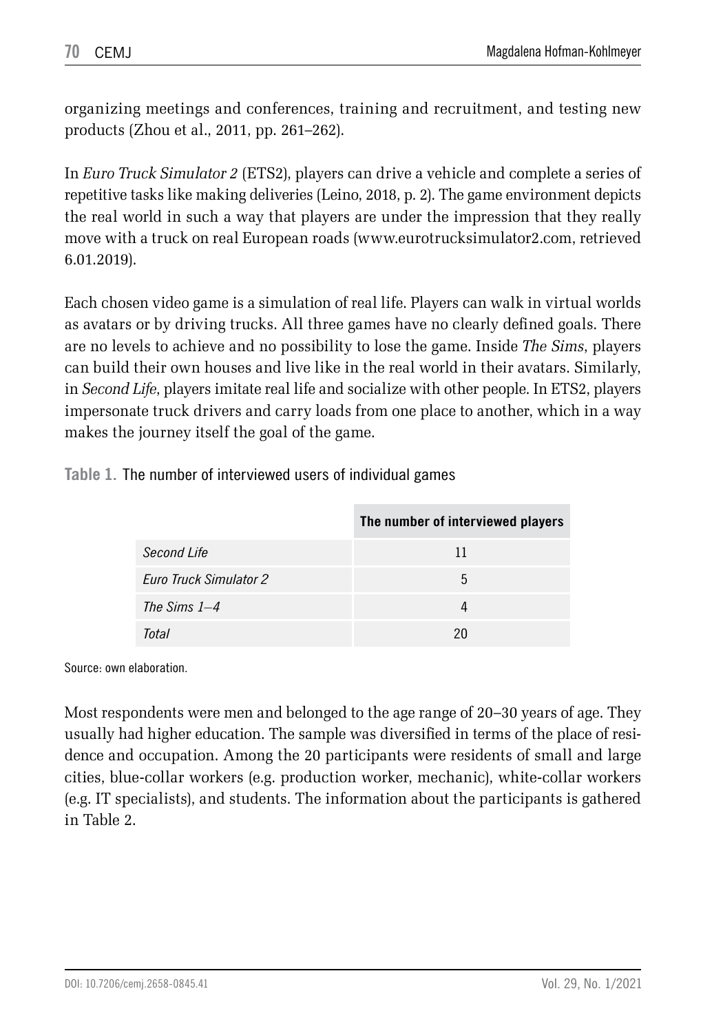organizing meetings and conferences, training and recruitment, and testing new products (Zhou et al., 2011, pp. 261–262).

In *Euro Truck Simulator 2* (ETS2), players can drive a vehicle and complete a series of repetitive tasks like making deliveries (Leino, 2018, p. 2). The game environment depicts the real world in such a way that players are under the impression that they really move with a truck on real European roads (www.eurotrucksimulator2.com, retrieved 6.01.2019).

Each chosen video game is a simulation of real life. Players can walk in virtual worlds as avatars or by driving trucks. All three games have no clearly defined goals. There are no levels to achieve and no possibility to lose the game. Inside *The Sims*, players can build their own houses and live like in the real world in their avatars. Similarly, in *Second Life*, players imitate real life and socialize with other people. In ETS2, players impersonate truck drivers and carry loads from one place to another, which in a way makes the journey itself the goal of the game.

**Table 1.** The number of interviewed users of individual games

|                               | The number of interviewed players |
|-------------------------------|-----------------------------------|
| Second Life                   | 11                                |
| <b>Euro Truck Simulator 2</b> | 5                                 |
| The Sims $1-4$                |                                   |
| Total                         | 20                                |

Source: own elaboration.

Most respondents were men and belonged to the age range of 20–30 years of age. They usually had higher education. The sample was diversified in terms of the place of residence and occupation. Among the 20 participants were residents of small and large cities, blue-collar workers (e.g. production worker, mechanic), white-collar workers (e.g. IT specialists), and students. The information about the participants is gathered in Table 2.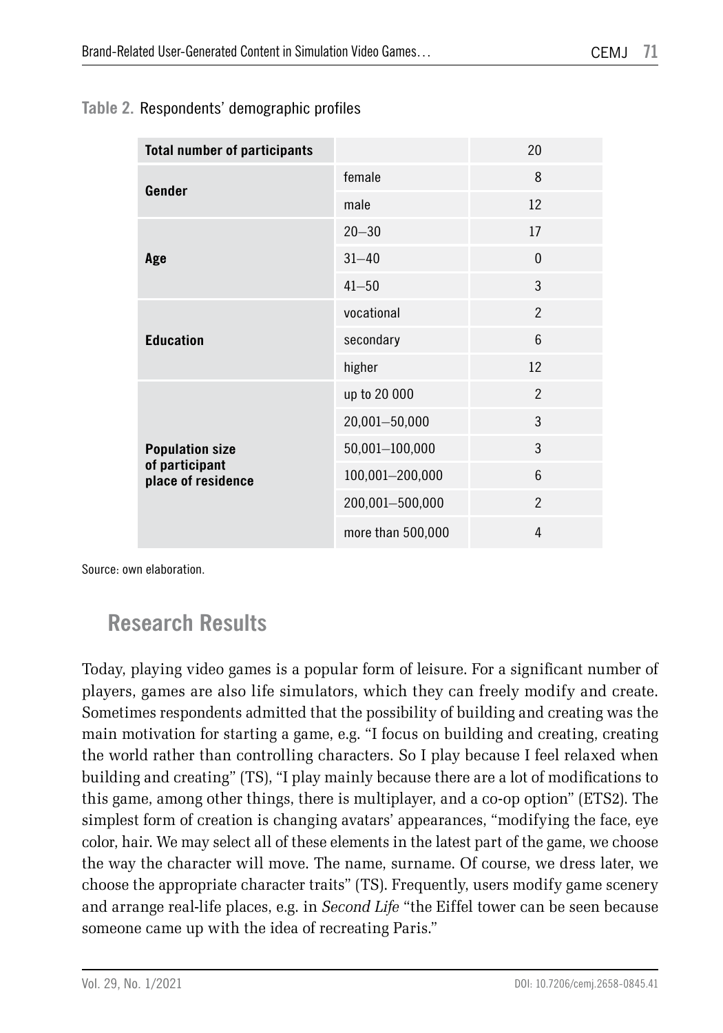|  |  | Table 2. Respondents' demographic profiles |  |
|--|--|--------------------------------------------|--|
|--|--|--------------------------------------------|--|

| <b>Total number of participants</b>                            |                   | 20             |
|----------------------------------------------------------------|-------------------|----------------|
| Gender                                                         | female            | 8              |
|                                                                | male              | 12             |
| Age                                                            | $20 - 30$         | 17             |
|                                                                | $31 - 40$         | $\mathbf{0}$   |
|                                                                | $41 - 50$         | 3              |
| <b>Education</b>                                               | vocational        | $\mathfrak{p}$ |
|                                                                | secondary         | 6              |
|                                                                | higher            | 12             |
| <b>Population size</b><br>of participant<br>place of residence | up to 20 000      | $\mathfrak{p}$ |
|                                                                | 20,001-50,000     | 3              |
|                                                                | 50,001-100,000    | 3              |
|                                                                | 100,001-200,000   | 6              |
|                                                                | 200,001-500,000   | $\overline{2}$ |
|                                                                | more than 500,000 | 4              |

Source: own elaboration.

### **Research Results**

Today, playing video games is a popular form of leisure. For a significant number of players, games are also life simulators, which they can freely modify and create. Sometimes respondents admitted that the possibility of building and creating was the main motivation for starting a game, e.g. "I focus on building and creating, creating the world rather than controlling characters. So I play because I feel relaxed when building and creating" (TS), "I play mainly because there are a lot of modifications to this game, among other things, there is multiplayer, and a co-op option" (ETS2). The simplest form of creation is changing avatars' appearances, "modifying the face, eye color, hair. We may select all of these elements in the latest part of the game, we choose the way the character will move. The name, surname. Of course, we dress later, we choose the appropriate character traits" (TS). Frequently, users modify game scenery and arrange real-life places, e.g. in *Second Life* "the Eiffel tower can be seen because someone came up with the idea of recreating Paris."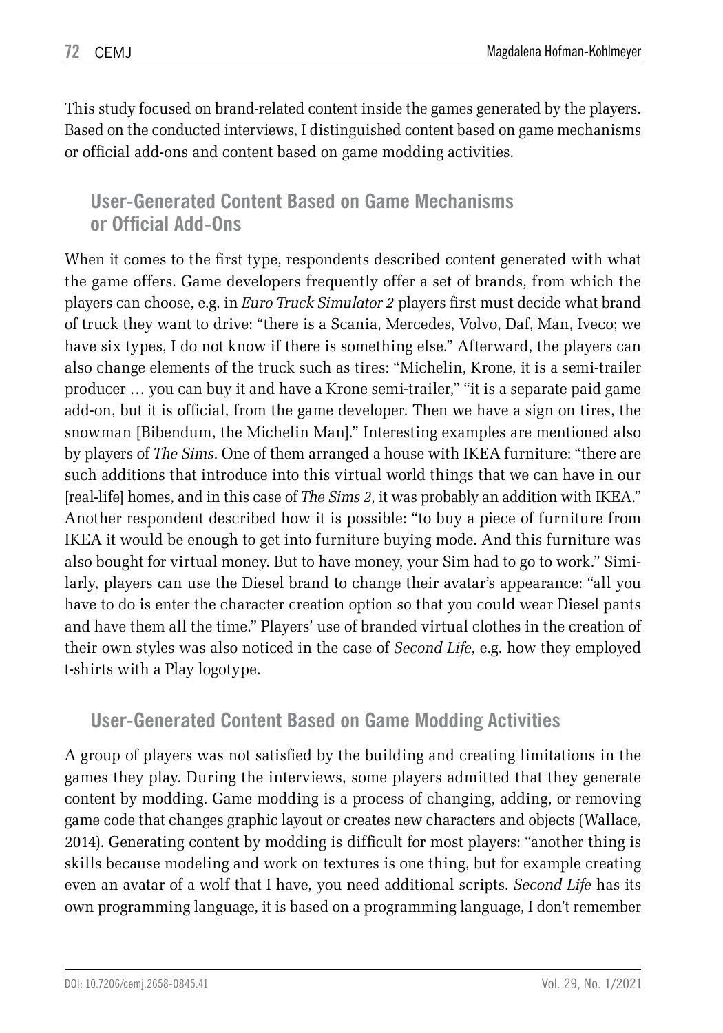This study focused on brand-related content inside the games generated by the players. Based on the conducted interviews, I distinguished content based on game mechanisms or official add-ons and content based on game modding activities.

#### **User-Generated Content Based on Game Mechanisms or Official Add-Ons**

When it comes to the first type, respondents described content generated with what the game offers. Game developers frequently offer a set of brands, from which the players can choose, e.g. in *Euro Truck Simulator 2* players first must decide what brand of truck they want to drive: "there is a Scania, Mercedes, Volvo, Daf, Man, Iveco; we have six types, I do not know if there is something else." Afterward, the players can also change elements of the truck such as tires: "Michelin, Krone, it is a semi-trailer producer … you can buy it and have a Krone semi-trailer," "it is a separate paid game add-on, but it is official, from the game developer. Then we have a sign on tires, the snowman [Bibendum, the Michelin Man]." Interesting examples are mentioned also by players of *The Sims*. One of them arranged a house with IKEA furniture: "there are such additions that introduce into this virtual world things that we can have in our [real-life] homes, and in this case of *The Sims 2*, it was probably an addition with IKEA." Another respondent described how it is possible: "to buy a piece of furniture from IKEA it would be enough to get into furniture buying mode. And this furniture was also bought for virtual money. But to have money, your Sim had to go to work." Similarly, players can use the Diesel brand to change their avatar's appearance: "all you have to do is enter the character creation option so that you could wear Diesel pants and have them all the time." Players' use of branded virtual clothes in the creation of their own styles was also noticed in the case of *Second Life*, e.g. how they employed t-shirts with a Play logotype.

### **User-Generated Content Based on Game Modding Activities**

A group of players was not satisfied by the building and creating limitations in the games they play. During the interviews, some players admitted that they generate content by modding. Game modding is a process of changing, adding, or removing game code that changes graphic layout or creates new characters and objects (Wallace, 2014). Generating content by modding is difficult for most players: "another thing is skills because modeling and work on textures is one thing, but for example creating even an avatar of a wolf that I have, you need additional scripts. *Second Life* has its own programming language, it is based on a programming language, I don't remember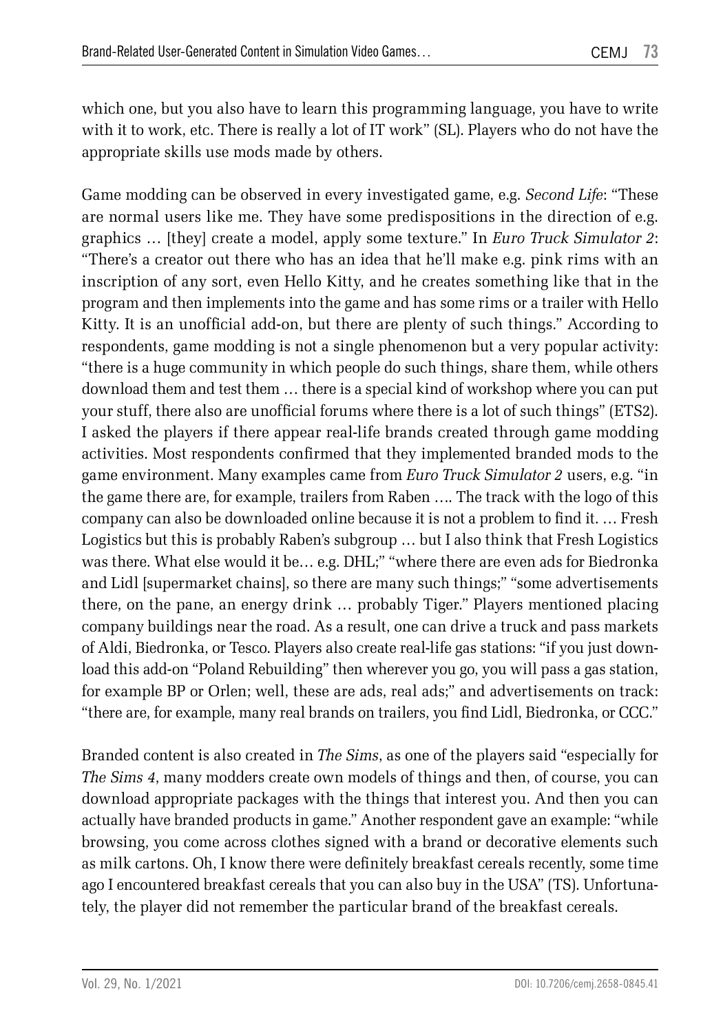which one, but you also have to learn this programming language, you have to write with it to work, etc. There is really a lot of IT work" (SL). Players who do not have the appropriate skills use mods made by others.

Game modding can be observed in every investigated game, e.g. *Second Life*: "These are normal users like me. They have some predispositions in the direction of e.g. graphics … [they] create a model, apply some texture." In *Euro Truck Simulator 2*: "There's a creator out there who has an idea that he'll make e.g. pink rims with an inscription of any sort, even Hello Kitty, and he creates something like that in the program and then implements into the game and has some rims or a trailer with Hello Kitty. It is an unofficial add-on, but there are plenty of such things." According to respondents, game modding is not a single phenomenon but a very popular activity: "there is a huge community in which people do such things, share them, while others download them and test them … there is a special kind of workshop where you can put your stuff, there also are unofficial forums where there is a lot of such things" (ETS2). I asked the players if there appear real-life brands created through game modding activities. Most respondents confirmed that they implemented branded mods to the game environment. Many examples came from *Euro Truck Simulator 2* users, e.g. "in the game there are, for example, trailers from Raben …. The track with the logo of this company can also be downloaded online because it is not a problem to find it. … Fresh Logistics but this is probably Raben's subgroup … but I also think that Fresh Logistics was there. What else would it be… e.g. DHL;" "where there are even ads for Biedronka and Lidl [supermarket chains], so there are many such things;" "some advertisements there, on the pane, an energy drink … probably Tiger." Players mentioned placing company buildings near the road. As a result, one can drive a truck and pass markets of Aldi, Biedronka, or Tesco. Players also create real-life gas stations: "if you just download this add-on "Poland Rebuilding" then wherever you go, you will pass a gas station, for example BP or Orlen; well, these are ads, real ads;" and advertisements on track: "there are, for example, many real brands on trailers, you find Lidl, Biedronka, or CCC."

Branded content is also created in *The Sims*, as one of the players said "especially for *The Sims 4*, many modders create own models of things and then, of course, you can download appropriate packages with the things that interest you. And then you can actually have branded products in game." Another respondent gave an example: "while browsing, you come across clothes signed with a brand or decorative elements such as milk cartons. Oh, I know there were definitely breakfast cereals recently, some time ago I encountered breakfast cereals that you can also buy in the USA" (TS). Unfortunately, the player did not remember the particular brand of the breakfast cereals.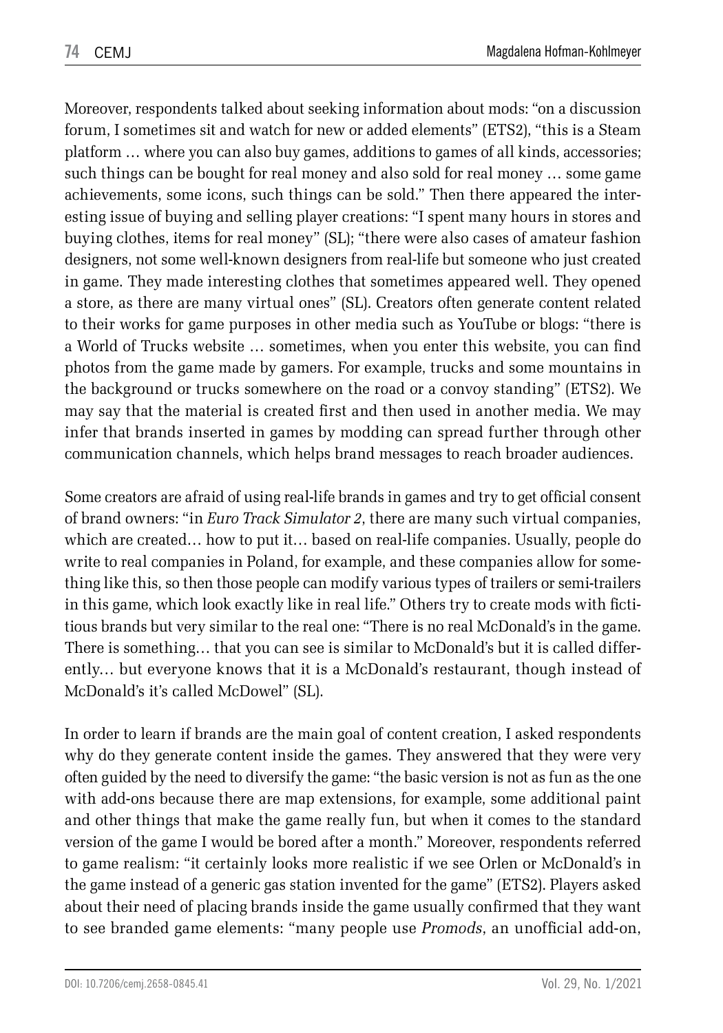Moreover, respondents talked about seeking information about mods: "on a discussion forum, I sometimes sit and watch for new or added elements" (ETS2), "this is a Steam platform … where you can also buy games, additions to games of all kinds, accessories; such things can be bought for real money and also sold for real money … some game achievements, some icons, such things can be sold." Then there appeared the interesting issue of buying and selling player creations: "I spent many hours in stores and buying clothes, items for real money" (SL); "there were also cases of amateur fashion designers, not some well-known designers from real-life but someone who just created in game. They made interesting clothes that sometimes appeared well. They opened a store, as there are many virtual ones" (SL). Creators often generate content related to their works for game purposes in other media such as YouTube or blogs: "there is a World of Trucks website … sometimes, when you enter this website, you can find photos from the game made by gamers. For example, trucks and some mountains in the background or trucks somewhere on the road or a convoy standing" (ETS2). We may say that the material is created first and then used in another media. We may infer that brands inserted in games by modding can spread further through other communication channels, which helps brand messages to reach broader audiences.

Some creators are afraid of using real-life brands in games and try to get official consent of brand owners: "in *Euro Track Simulator 2*, there are many such virtual companies, which are created… how to put it… based on real-life companies. Usually, people do write to real companies in Poland, for example, and these companies allow for something like this, so then those people can modify various types of trailers or semi-trailers in this game, which look exactly like in real life." Others try to create mods with fictitious brands but very similar to the real one: "There is no real McDonald's in the game. There is something… that you can see is similar to McDonald's but it is called differently… but everyone knows that it is a McDonald's restaurant, though instead of McDonald's it's called McDowel" (SL).

In order to learn if brands are the main goal of content creation, I asked respondents why do they generate content inside the games. They answered that they were very often guided by the need to diversify the game: "the basic version is not as fun as the one with add-ons because there are map extensions, for example, some additional paint and other things that make the game really fun, but when it comes to the standard version of the game I would be bored after a month." Moreover, respondents referred to game realism: "it certainly looks more realistic if we see Orlen or McDonald's in the game instead of a generic gas station invented for the game" (ETS2). Players asked about their need of placing brands inside the game usually confirmed that they want to see branded game elements: "many people use *Promods*, an unofficial add-on,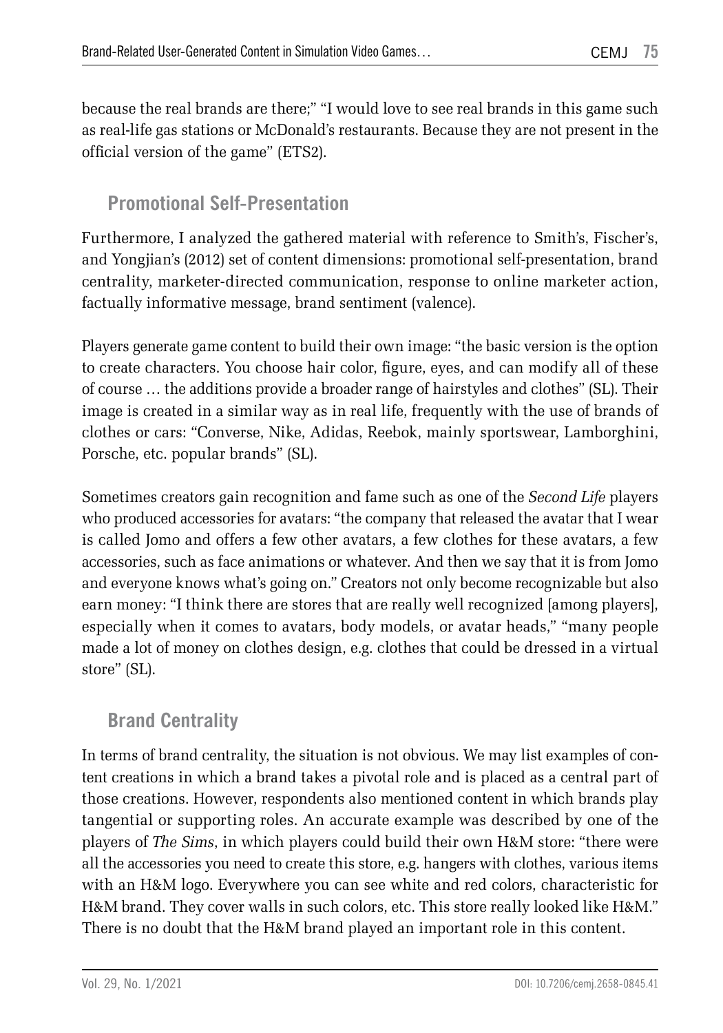because the real brands are there;" "I would love to see real brands in this game such as real-life gas stations or McDonald's restaurants. Because they are not present in the official version of the game" (ETS2).

#### **Promotional Self-Presentation**

Furthermore, I analyzed the gathered material with reference to Smith's, Fischer's, and Yongjian's (2012) set of content dimensions: promotional self-presentation, brand centrality, marketer-directed communication, response to online marketer action, factually informative message, brand sentiment (valence).

Players generate game content to build their own image: "the basic version is the option to create characters. You choose hair color, figure, eyes, and can modify all of these of course … the additions provide a broader range of hairstyles and clothes" (SL). Their image is created in a similar way as in real life, frequently with the use of brands of clothes or cars: "Converse, Nike, Adidas, Reebok, mainly sportswear, Lamborghini, Porsche, etc. popular brands" (SL).

Sometimes creators gain recognition and fame such as one of the *Second Life* players who produced accessories for avatars: "the company that released the avatar that I wear is called Jomo and offers a few other avatars, a few clothes for these avatars, a few accessories, such as face animations or whatever. And then we say that it is from Jomo and everyone knows what's going on." Creators not only become recognizable but also earn money: "I think there are stores that are really well recognized [among players], especially when it comes to avatars, body models, or avatar heads," "many people made a lot of money on clothes design, e.g. clothes that could be dressed in a virtual store" (SL).

#### **Brand Centrality**

In terms of brand centrality, the situation is not obvious. We may list examples of content creations in which a brand takes a pivotal role and is placed as a central part of those creations. However, respondents also mentioned content in which brands play tangential or supporting roles. An accurate example was described by one of the players of *The Sims*, in which players could build their own H&M store: "there were all the accessories you need to create this store, e.g. hangers with clothes, various items with an H&M logo. Everywhere you can see white and red colors, characteristic for H&M brand. They cover walls in such colors, etc. This store really looked like H&M." There is no doubt that the H&M brand played an important role in this content.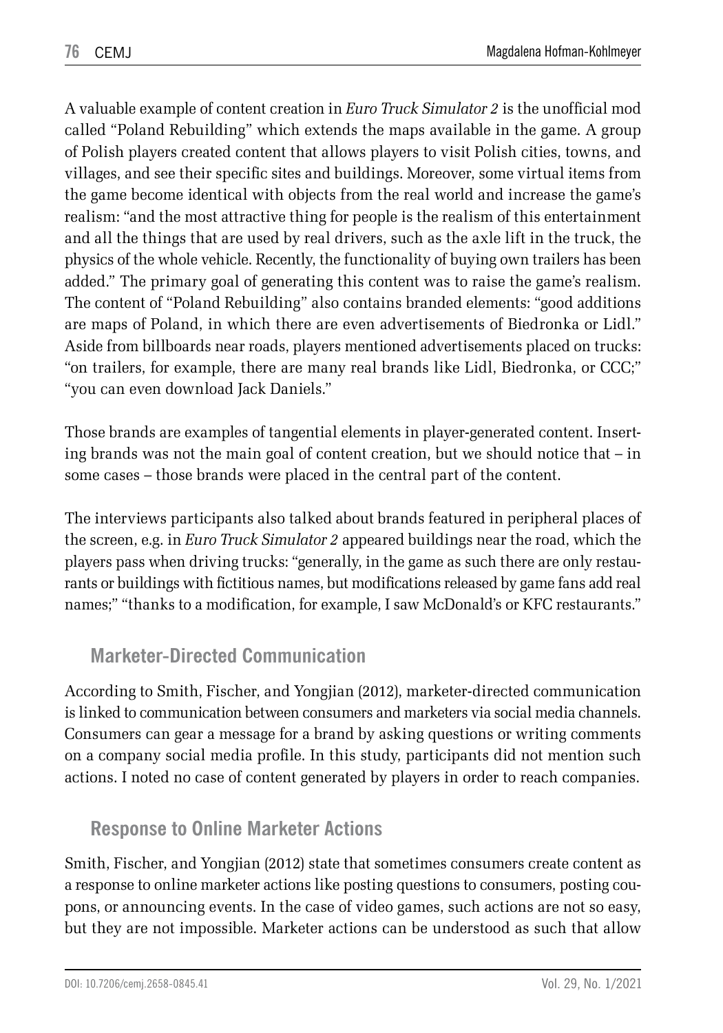A valuable example of content creation in *Euro Truck Simulator 2* is the unofficial mod called "Poland Rebuilding" which extends the maps available in the game. A group of Polish players created content that allows players to visit Polish cities, towns, and villages, and see their specific sites and buildings. Moreover, some virtual items from the game become identical with objects from the real world and increase the game's realism: "and the most attractive thing for people is the realism of this entertainment and all the things that are used by real drivers, such as the axle lift in the truck, the physics of the whole vehicle. Recently, the functionality of buying own trailers has been added." The primary goal of generating this content was to raise the game's realism. The content of "Poland Rebuilding" also contains branded elements: "good additions are maps of Poland, in which there are even advertisements of Biedronka or Lidl." Aside from billboards near roads, players mentioned advertisements placed on trucks: "on trailers, for example, there are many real brands like Lidl, Biedronka, or CCC;" "you can even download Jack Daniels."

Those brands are examples of tangential elements in player-generated content. Inserting brands was not the main goal of content creation, but we should notice that – in some cases – those brands were placed in the central part of the content.

The interviews participants also talked about brands featured in peripheral places of the screen, e.g. in *Euro Truck Simulator 2* appeared buildings near the road, which the players pass when driving trucks: "generally, in the game as such there are only restaurants or buildings with fictitious names, but modifications released by game fans add real names;" "thanks to a modification, for example, I saw McDonald's or KFC restaurants."

### **Marketer-Directed Communication**

According to Smith, Fischer, and Yongjian (2012), marketer-directed communication is linked to communication between consumers and marketers via social media channels. Consumers can gear a message for a brand by asking questions or writing comments on a company social media profile. In this study, participants did not mention such actions. I noted no case of content generated by players in order to reach companies.

### **Response to Online Marketer Actions**

Smith, Fischer, and Yongjian (2012) state that sometimes consumers create content as a response to online marketer actions like posting questions to consumers, posting coupons, or announcing events. In the case of video games, such actions are not so easy, but they are not impossible. Marketer actions can be understood as such that allow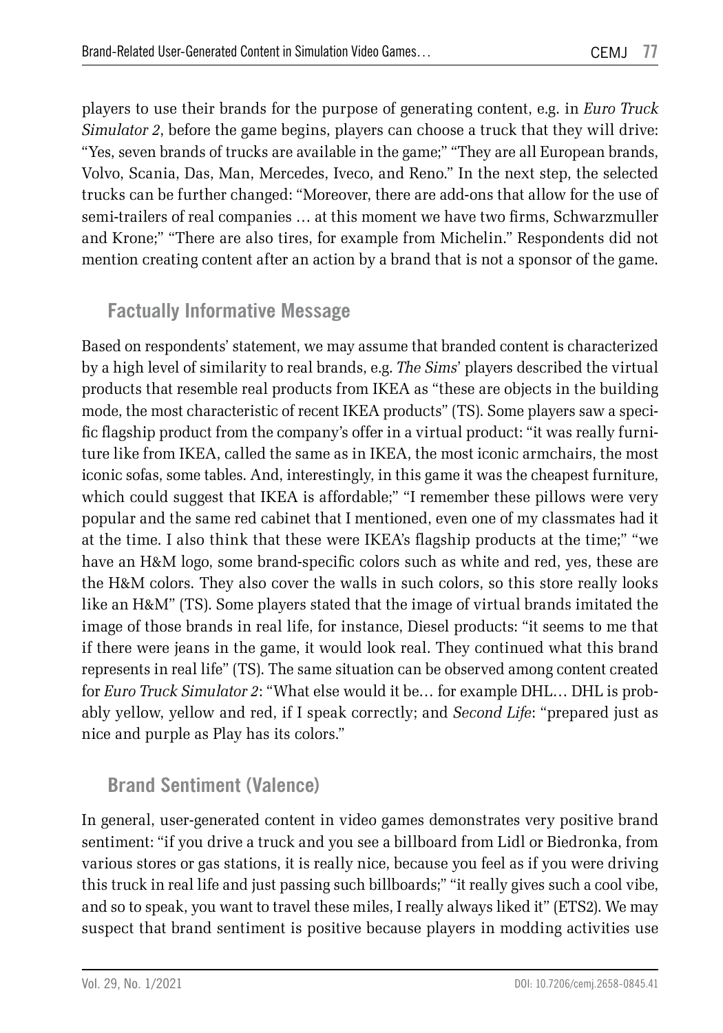players to use their brands for the purpose of generating content, e.g. in *Euro Truck Simulator 2*, before the game begins, players can choose a truck that they will drive: "Yes, seven brands of trucks are available in the game;" "They are all European brands, Volvo, Scania, Das, Man, Mercedes, Iveco, and Reno." In the next step, the selected trucks can be further changed: "Moreover, there are add-ons that allow for the use of semi-trailers of real companies … at this moment we have two firms, Schwarzmuller and Krone;" "There are also tires, for example from Michelin." Respondents did not mention creating content after an action by a brand that is not a sponsor of the game.

#### **Factually Informative Message**

Based on respondents' statement, we may assume that branded content is characterized by a high level of similarity to real brands, e.g. *The Sims*' players described the virtual products that resemble real products from IKEA as "these are objects in the building mode, the most characteristic of recent IKEA products" (TS). Some players saw a specific flagship product from the company's offer in a virtual product: "it was really furniture like from IKEA, called the same as in IKEA, the most iconic armchairs, the most iconic sofas, some tables. And, interestingly, in this game it was the cheapest furniture, which could suggest that IKEA is affordable;" "I remember these pillows were very popular and the same red cabinet that I mentioned, even one of my classmates had it at the time. I also think that these were IKEA's flagship products at the time;" "we have an H&M logo, some brand-specific colors such as white and red, yes, these are the H&M colors. They also cover the walls in such colors, so this store really looks like an H&M" (TS). Some players stated that the image of virtual brands imitated the image of those brands in real life, for instance, Diesel products: "it seems to me that if there were jeans in the game, it would look real. They continued what this brand represents in real life" (TS). The same situation can be observed among content created for *Euro Truck Simulator 2*: "What else would it be… for example DHL… DHL is probably yellow, yellow and red, if I speak correctly; and *Second Life*: "prepared just as nice and purple as Play has its colors."

#### **Brand Sentiment (Valence)**

In general, user-generated content in video games demonstrates very positive brand sentiment: "if you drive a truck and you see a billboard from Lidl or Biedronka, from various stores or gas stations, it is really nice, because you feel as if you were driving this truck in real life and just passing such billboards;" "it really gives such a cool vibe, and so to speak, you want to travel these miles, I really always liked it" (ETS2). We may suspect that brand sentiment is positive because players in modding activities use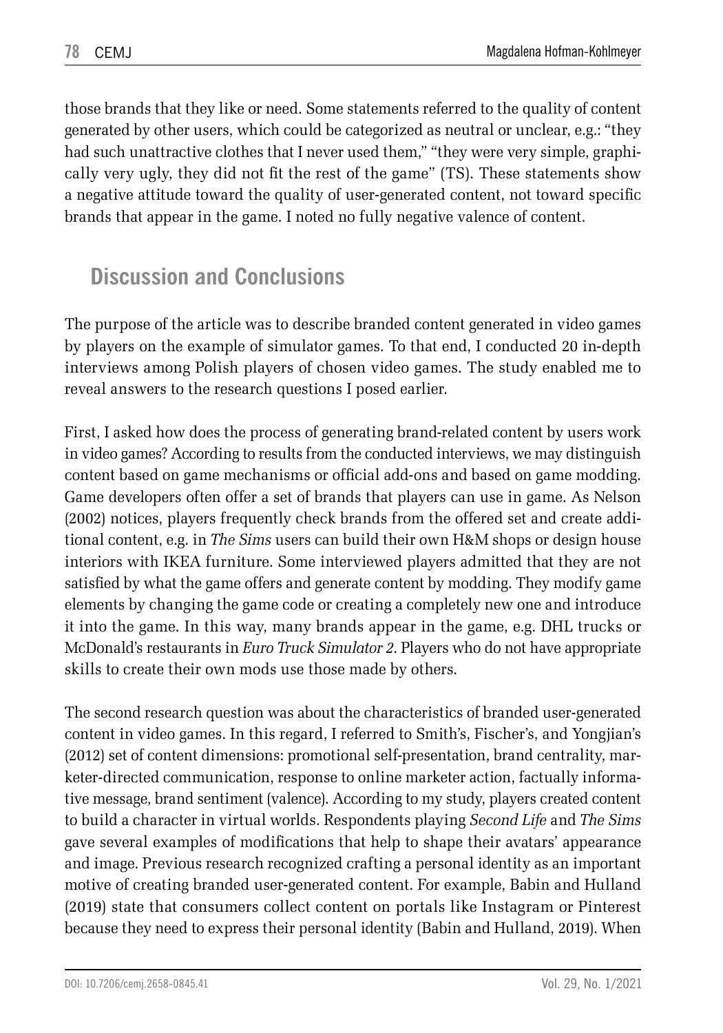those brands that they like or need. Some statements referred to the quality of content generated by other users, which could be categorized as neutral or unclear, e.g.: "they had such unattractive clothes that I never used them," "they were very simple, graphically very ugly, they did not fit the rest of the game" (TS). These statements show a negative attitude toward the quality of user-generated content, not toward specific brands that appear in the game. I noted no fully negative valence of content.

## **Discussion and Conclusions**

The purpose of the article was to describe branded content generated in video games by players on the example of simulator games. To that end, I conducted 20 in-depth interviews among Polish players of chosen video games. The study enabled me to reveal answers to the research questions I posed earlier.

First, I asked how does the process of generating brand-related content by users work in video games? According to results from the conducted interviews, we may distinguish content based on game mechanisms or official add-ons and based on game modding. Game developers often offer a set of brands that players can use in game. As Nelson (2002) notices, players frequently check brands from the offered set and create additional content, e.g. in *The Sims* users can build their own H&M shops or design house interiors with IKEA furniture. Some interviewed players admitted that they are not satisfied by what the game offers and generate content by modding. They modify game elements by changing the game code or creating a completely new one and introduce it into the game. In this way, many brands appear in the game, e.g. DHL trucks or McDonald's restaurants in *Euro Truck Simulator 2*. Players who do not have appropriate skills to create their own mods use those made by others.

The second research question was about the characteristics of branded user-generated content in video games. In this regard, I referred to Smith's, Fischer's, and Yongjian's (2012) set of content dimensions: promotional self-presentation, brand centrality, marketer-directed communication, response to online marketer action, factually informative message, brand sentiment (valence). According to my study, players created content to build a character in virtual worlds. Respondents playing *Second Life* and *The Sims* gave several examples of modifications that help to shape their avatars' appearance and image. Previous research recognized crafting a personal identity as an important motive of creating branded user-generated content. For example, Babin and Hulland (2019) state that consumers collect content on portals like Instagram or Pinterest because they need to express their personal identity (Babin and Hulland, 2019). When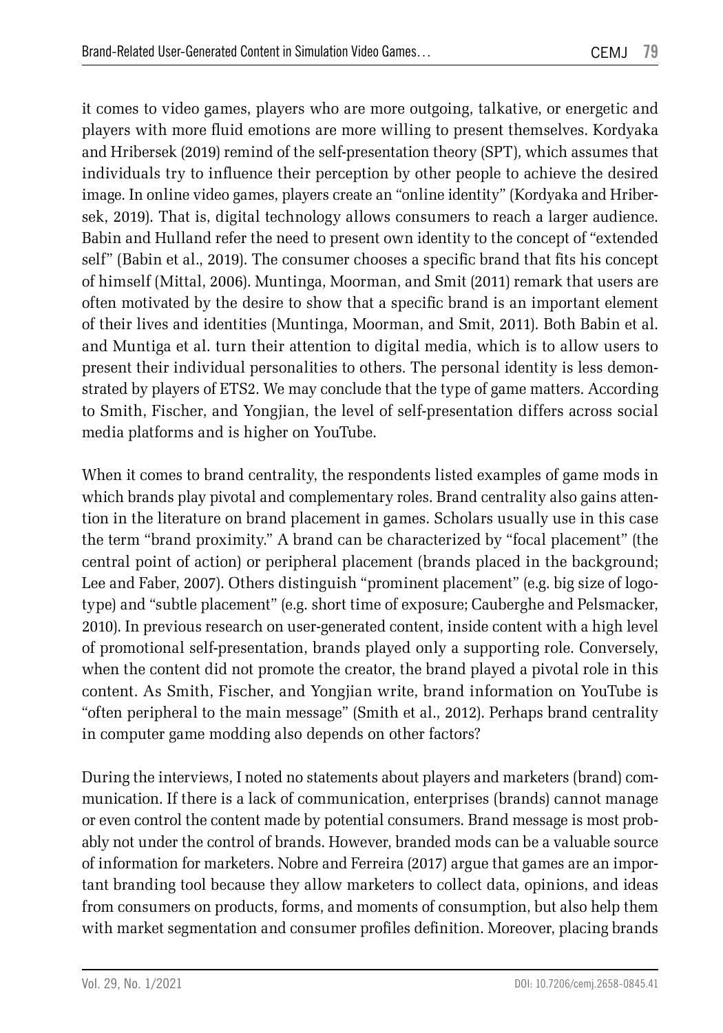it comes to video games, players who are more outgoing, talkative, or energetic and players with more fluid emotions are more willing to present themselves. Kordyaka and Hribersek (2019) remind of the self-presentation theory (SPT), which assumes that individuals try to influence their perception by other people to achieve the desired image. In online video games, players create an "online identity" (Kordyaka and Hribersek, 2019). That is, digital technology allows consumers to reach a larger audience. Babin and Hulland refer the need to present own identity to the concept of "extended self" (Babin et al., 2019). The consumer chooses a specific brand that fits his concept of himself (Mittal, 2006). Muntinga, Moorman, and Smit (2011) remark that users are often motivated by the desire to show that a specific brand is an important element of their lives and identities (Muntinga, Moorman, and Smit, 2011). Both Babin et al. and Muntiga et al. turn their attention to digital media, which is to allow users to present their individual personalities to others. The personal identity is less demonstrated by players of ETS2. We may conclude that the type of game matters. According to Smith, Fischer, and Yongjian, the level of self-presentation differs across social media platforms and is higher on YouTube.

When it comes to brand centrality, the respondents listed examples of game mods in which brands play pivotal and complementary roles. Brand centrality also gains attention in the literature on brand placement in games. Scholars usually use in this case the term "brand proximity." A brand can be characterized by "focal placement" (the central point of action) or peripheral placement (brands placed in the background; Lee and Faber, 2007). Others distinguish "prominent placement" (e.g. big size of logotype) and "subtle placement" (e.g. short time of exposure; Cauberghe and Pelsmacker, 2010). In previous research on user-generated content, inside content with a high level of promotional self-presentation, brands played only a supporting role. Conversely, when the content did not promote the creator, the brand played a pivotal role in this content. As Smith, Fischer, and Yongjian write, brand information on YouTube is "often peripheral to the main message" (Smith et al., 2012). Perhaps brand centrality in computer game modding also depends on other factors?

During the interviews, I noted no statements about players and marketers (brand) communication. If there is a lack of communication, enterprises (brands) cannot manage or even control the content made by potential consumers. Brand message is most probably not under the control of brands. However, branded mods can be a valuable source of information for marketers. Nobre and Ferreira (2017) argue that games are an important branding tool because they allow marketers to collect data, opinions, and ideas from consumers on products, forms, and moments of consumption, but also help them with market segmentation and consumer profiles definition. Moreover, placing brands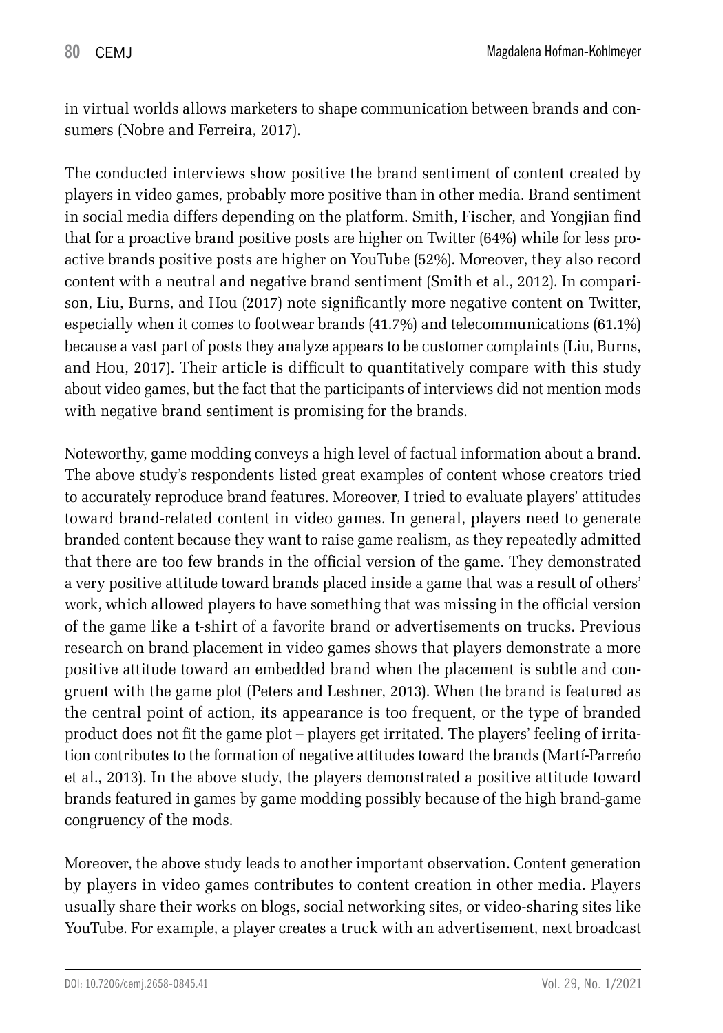in virtual worlds allows marketers to shape communication between brands and consumers (Nobre and Ferreira, 2017).

The conducted interviews show positive the brand sentiment of content created by players in video games, probably more positive than in other media. Brand sentiment in social media differs depending on the platform. Smith, Fischer, and Yongjian find that for a proactive brand positive posts are higher on Twitter (64%) while for less proactive brands positive posts are higher on YouTube (52%). Moreover, they also record content with a neutral and negative brand sentiment (Smith et al., 2012). In comparison, Liu, Burns, and Hou (2017) note significantly more negative content on Twitter, especially when it comes to footwear brands (41.7%) and telecommunications (61.1%) because a vast part of posts they analyze appears to be customer complaints (Liu, Burns, and Hou, 2017). Their article is difficult to quantitatively compare with this study about video games, but the fact that the participants of interviews did not mention mods with negative brand sentiment is promising for the brands.

Noteworthy, game modding conveys a high level of factual information about a brand. The above study's respondents listed great examples of content whose creators tried to accurately reproduce brand features. Moreover, I tried to evaluate players' attitudes toward brand-related content in video games. In general, players need to generate branded content because they want to raise game realism, as they repeatedly admitted that there are too few brands in the official version of the game. They demonstrated a very positive attitude toward brands placed inside a game that was a result of others' work, which allowed players to have something that was missing in the official version of the game like a t-shirt of a favorite brand or advertisements on trucks. Previous research on brand placement in video games shows that players demonstrate a more positive attitude toward an embedded brand when the placement is subtle and congruent with the game plot (Peters and Leshner, 2013). When the brand is featured as the central point of action, its appearance is too frequent, or the type of branded product does not fit the game plot – players get irritated. The players' feeling of irritation contributes to the formation of negative attitudes toward the brands (Martí-Parreńo et al., 2013). In the above study, the players demonstrated a positive attitude toward brands featured in games by game modding possibly because of the high brand-game congruency of the mods.

Moreover, the above study leads to another important observation. Content generation by players in video games contributes to content creation in other media. Players usually share their works on blogs, social networking sites, or video-sharing sites like YouTube. For example, a player creates a truck with an advertisement, next broadcast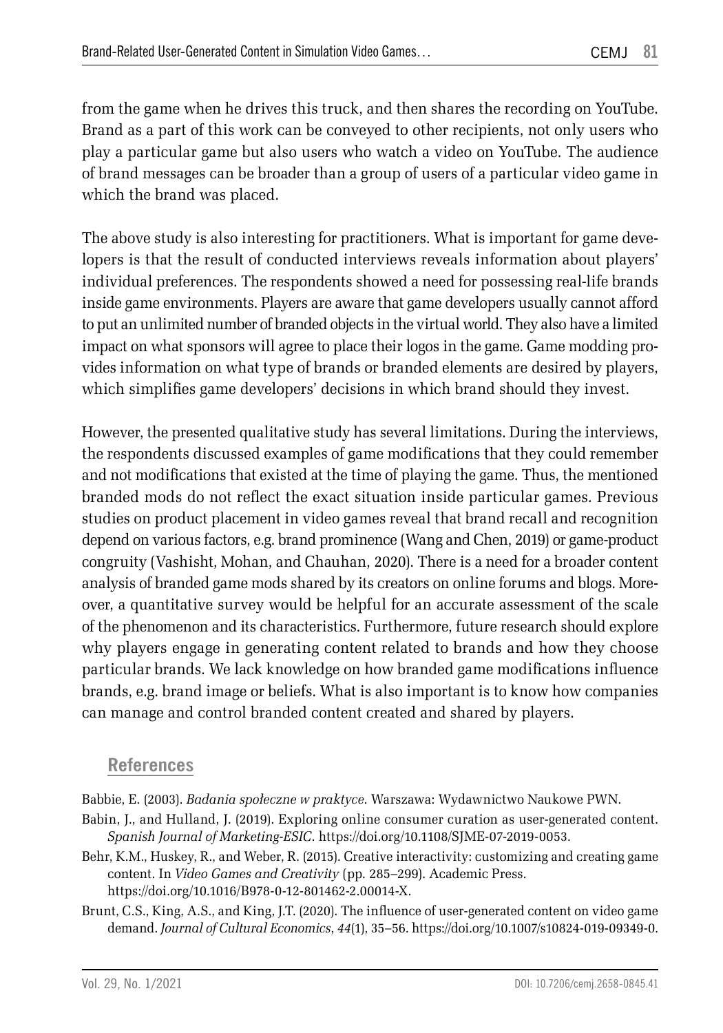from the game when he drives this truck, and then shares the recording on YouTube. Brand as a part of this work can be conveyed to other recipients, not only users who play a particular game but also users who watch a video on YouTube. The audience of brand messages can be broader than a group of users of a particular video game in which the brand was placed.

The above study is also interesting for practitioners. What is important for game developers is that the result of conducted interviews reveals information about players' individual preferences. The respondents showed a need for possessing real-life brands inside game environments. Players are aware that game developers usually cannot afford to put an unlimited number of branded objects in the virtual world. They also have a limited impact on what sponsors will agree to place their logos in the game. Game modding provides information on what type of brands or branded elements are desired by players, which simplifies game developers' decisions in which brand should they invest.

However, the presented qualitative study has several limitations. During the interviews, the respondents discussed examples of game modifications that they could remember and not modifications that existed at the time of playing the game. Thus, the mentioned branded mods do not reflect the exact situation inside particular games. Previous studies on product placement in video games reveal that brand recall and recognition depend on various factors, e.g. brand prominence (Wang and Chen, 2019) or game-product congruity (Vashisht, Mohan, and Chauhan, 2020). There is a need for a broader content analysis of branded game mods shared by its creators on online forums and blogs. Moreover, a quantitative survey would be helpful for an accurate assessment of the scale of the phenomenon and its characteristics. Furthermore, future research should explore why players engage in generating content related to brands and how they choose particular brands. We lack knowledge on how branded game modifications influence brands, e.g. brand image or beliefs. What is also important is to know how companies can manage and control branded content created and shared by players.

#### **References**

Babbie, E. (2003). *Badania społeczne w praktyce*. Warszawa: Wydawnictwo Naukowe PWN.

- Babin, J., and Hulland, J. (2019). Exploring online consumer curation as user-generated content. *Spanish Journal of Marketing-ESIC*. https://doi.org/10.1108/SJME-07-2019-0053.
- Behr, K.M., Huskey, R., and Weber, R. (2015). Creative interactivity: customizing and creating game content. In *Video Games and Creativity* (pp. 285–299). Academic Press. https://doi.org/10.1016/B978-0-12-801462-2.00014-X.
- Brunt, C.S., King, A.S., and King, J.T. (2020). The influence of user-generated content on video game demand. *Journal of Cultural Economics*, *44*(1), 35–56. https://doi.org/10.1007/s10824-019-09349-0.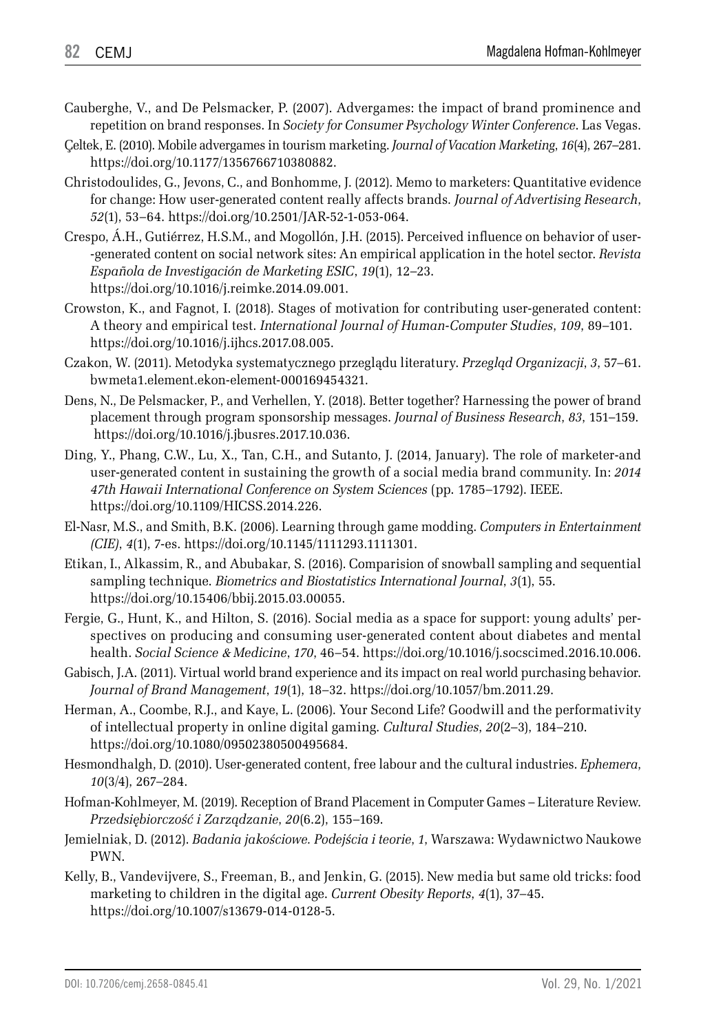- Cauberghe, V., and De Pelsmacker, P. (2007). Advergames: the impact of brand prominence and repetition on brand responses. In *Society for Consumer Psychology Winter Conference*. Las Vegas.
- Çeltek, E. (2010). Mobile advergames in tourism marketing. *Journal of Vacation Marketing*, *16*(4), 267–281. https://doi.org/10.1177/1356766710380882.
- Christodoulides, G., Jevons, C., and Bonhomme, J. (2012). Memo to marketers: Quantitative evidence for change: How user-generated content really affects brands*. Journal of Advertising Research*, *52*(1), 53–64. https://doi.org/10.2501/JAR-52-1-053-064.
- Crespo, Á.H., Gutiérrez, H.S.M., and Mogollón, J.H. (2015). Perceived influence on behavior of user- -generated content on social network sites: An empirical application in the hotel sector. *Revista Española de Investigación de Marketing ESIC*, *19*(1), 12–23. https://doi.org/10.1016/j.reimke.2014.09.001.
- Crowston, K., and Fagnot, I. (2018). Stages of motivation for contributing user-generated content: A theory and empirical test. *International Journal of Human-Computer Studies*, *109*, 89–101. https://doi.org/10.1016/j.ijhcs.2017.08.005.
- Czakon, W. (2011). Metodyka systematycznego przeglądu literatury. *Przegląd Organizacji*, *3*, 57–61. bwmeta1.element.ekon-element-000169454321.
- Dens, N., De Pelsmacker, P., and Verhellen, Y. (2018). Better together? Harnessing the power of brand placement through program sponsorship messages. *Journal of Business Research*, *83*, 151–159. https://doi.org/10.1016/j.jbusres.2017.10.036.
- Ding, Y., Phang, C.W., Lu, X., Tan, C.H., and Sutanto, J. (2014, January). The role of marketer-and user-generated content in sustaining the growth of a social media brand community. In: *2014 47th Hawaii International Conference on System Sciences* (pp. 1785–1792). IEEE. https://doi.org/10.1109/HICSS.2014.226.
- El-Nasr, M.S., and Smith, B.K. (2006). Learning through game modding. *Computers in Entertainment (CIE)*, *4*(1), 7-es. https://doi.org/10.1145/1111293.1111301.
- Etikan, I., Alkassim, R., and Abubakar, S. (2016). Comparision of snowball sampling and sequential sampling technique. *Biometrics and Biostatistics International Journal*, *3*(1), 55. https://doi.org/10.15406/bbij.2015.03.00055.
- Fergie, G., Hunt, K., and Hilton, S. (2016). Social media as a space for support: young adults' perspectives on producing and consuming user-generated content about diabetes and mental health. *Social Science* & *Medicine*, *170*, 46–54. https://doi.org/10.1016/j.socscimed.2016.10.006.
- Gabisch, J.A. (2011). Virtual world brand experience and its impact on real world purchasing behavior. *Journal of Brand Management*, *19*(1), 18–32. https://doi.org/10.1057/bm.2011.29.
- Herman, A., Coombe, R.J., and Kaye, L. (2006). Your Second Life? Goodwill and the performativity of intellectual property in online digital gaming. *Cultural Studies*, *20*(2–3), 184–210. https://doi.org/10.1080/09502380500495684.
- Hesmondhalgh, D. (2010). User-generated content, free labour and the cultural industries. *Ephemera*, *10*(3/4), 267–284.
- Hofman-Kohlmeyer, M. (2019). Reception of Brand Placement in Computer Games Literature Review. *Przedsiębiorczość i Zarządzanie*, *20*(6.2), 155–169.
- Jemielniak, D. (2012). *Badania jakościowe. Podejścia i teorie*, *1*, Warszawa: Wydawnictwo Naukowe PWN.
- Kelly, B., Vandevijvere, S., Freeman, B., and Jenkin, G. (2015). New media but same old tricks: food marketing to children in the digital age. *Current Obesity Reports*, *4*(1), 37–45. https://doi.org/10.1007/s13679-014-0128-5.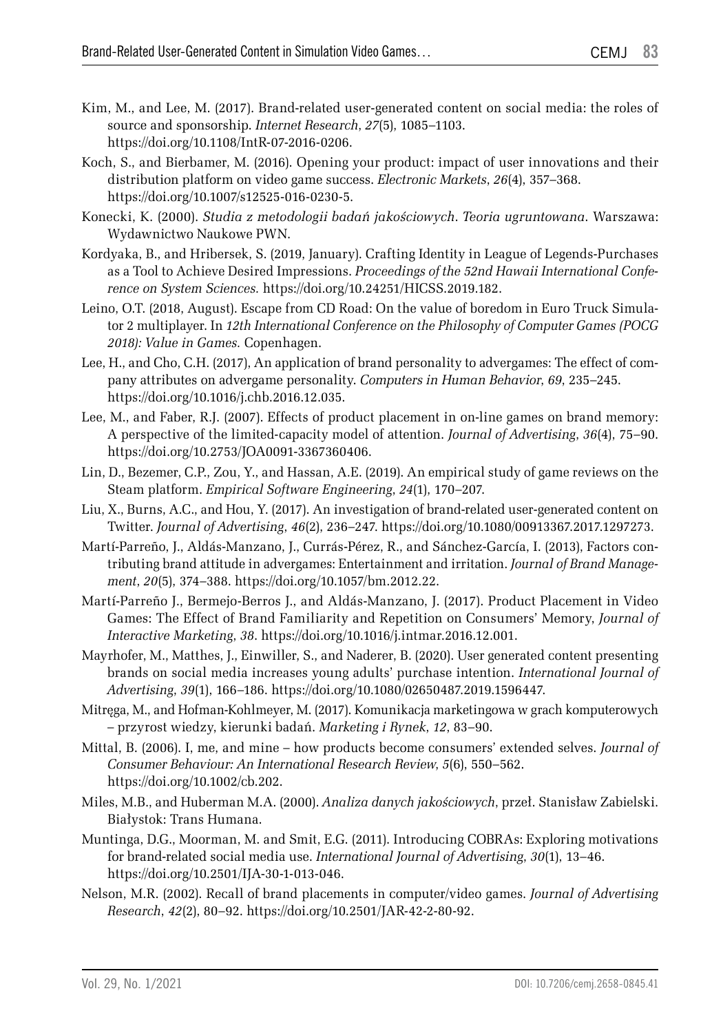- Kim, M., and Lee, M. (2017). Brand-related user-generated content on social media: the roles of source and sponsorship. *Internet Research*, *27*(5), 1085–1103. https://doi.org/10.1108/IntR-07-2016-0206.
- Koch, S., and Bierbamer, M. (2016). Opening your product: impact of user innovations and their distribution platform on video game success. *Electronic Markets*, *26*(4), 357–368. https://doi.org/10.1007/s12525-016-0230-5.
- Konecki, K. (2000). *Studia z metodologii badań jakościowych*. *Teoria ugruntowana*. Warszawa: Wydawnictwo Naukowe PWN.
- Kordyaka, B., and Hribersek, S. (2019, January). Crafting Identity in League of Legends-Purchases as a Tool to Achieve Desired Impressions. *Proceedings of the 52nd Hawaii International Conference on System Sciences.* https://doi.org/10.24251/HICSS.2019.182.
- Leino, O.T. (2018, August). Escape from CD Road: On the value of boredom in Euro Truck Simulator 2 multiplayer. In *12th International Conference on the Philosophy of Computer Games (POCG 2018): Value in Games.* Copenhagen.
- Lee, H., and Cho, C.H. (2017), An application of brand personality to advergames: The effect of company attributes on advergame personality. *Computers in Human Behavior*, *69*, 235–245. https://doi.org/10.1016/j.chb.2016.12.035.
- Lee, M., and Faber, R.J. (2007). Effects of product placement in on-line games on brand memory: A perspective of the limited-capacity model of attention. *Journal of Advertising*, *36*(4), 75–90. https://doi.org/10.2753/JOA0091-3367360406.
- Lin, D., Bezemer, C.P., Zou, Y., and Hassan, A.E. (2019). An empirical study of game reviews on the Steam platform. *Empirical Software Engineering*, *24*(1), 170–207.
- Liu, X., Burns, A.C., and Hou, Y. (2017). An investigation of brand-related user-generated content on Twitter. *Journal of Advertising*, *46*(2), 236–247. https://doi.org/10.1080/00913367.2017.1297273.
- Martí-Parreño, J., Aldás-Manzano, J., Currás-Pérez, R., and Sánchez-García, I. (2013), Factors contributing brand attitude in advergames: Entertainment and irritation. *Journal of Brand Management*, *20*(5), 374–388. https://doi.org/10.1057/bm.2012.22.
- Martí-Parreño J., Bermejo-Berros J., and Aldás-Manzano, J. (2017). Product Placement in Video Games: The Effect of Brand Familiarity and Repetition on Consumers' Memory, *Journal of Interactive Marketing*, *38*. https://doi.org/10.1016/j.intmar.2016.12.001.
- Mayrhofer, M., Matthes, J., Einwiller, S., and Naderer, B. (2020). User generated content presenting brands on social media increases young adults' purchase intention. *International Journal of Advertising*, *39*(1), 166–186. https://doi.org/10.1080/02650487.2019.1596447.
- Mitręga, M., and Hofman-Kohlmeyer, M. (2017). Komunikacja marketingowa w grach komputerowych – przyrost wiedzy, kierunki badań. *Marketing i Rynek*, *12*, 83–90.
- Mittal, B. (2006). I, me, and mine how products become consumers' extended selves. *Journal of Consumer Behaviour: An International Research Review*, *5*(6), 550–562. https://doi.org/10.1002/cb.202.
- Miles, M.B., and Huberman M.A. (2000). *Analiza danych jakościowych*, przeł. Stanisław Zabielski. Białystok: Trans Humana.
- Muntinga, D.G., Moorman, M. and Smit, E.G. (2011). Introducing COBRAs: Exploring motivations for brand-related social media use. *International Journal of Advertising*, *30*(1), 13–46. https://doi.org/10.2501/IJA-30-1-013-046.
- Nelson, M.R. (2002). Recall of brand placements in computer/video games. *Journal of Advertising Research*, *42*(2), 80–92. https://doi.org/10.2501/JAR-42-2-80-92.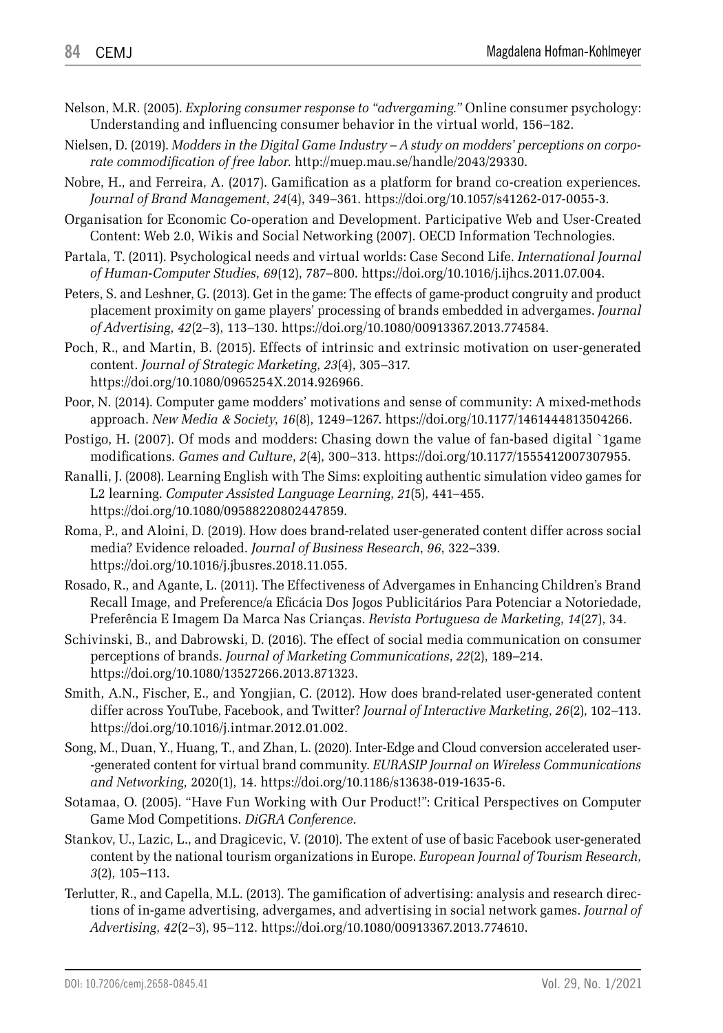- Nelson, M.R. (2005). *Exploring consumer response to "advergaming."* Online consumer psychology: Understanding and influencing consumer behavior in the virtual world, 156–182.
- Nielsen, D. (2019). *Modders in the Digital Game Industry A study on modders' perceptions on corporate commodification of free labor*. http://muep.mau.se/handle/2043/29330.
- Nobre, H., and Ferreira, A. (2017). Gamification as a platform for brand co-creation experiences*. Journal of Brand Management*, *24*(4), 349–361. https://doi.org/10.1057/s41262-017-0055-3.
- Organisation for Economic Co-operation and Development. Participative Web and User-Created Content: Web 2.0, Wikis and Social Networking (2007). OECD Information Technologies.
- Partala, T. (2011). Psychological needs and virtual worlds: Case Second Life. *International Journal of Human-Computer Studies*, *69*(12), 787–800. https://doi.org/10.1016/j.ijhcs.2011.07.004.
- Peters, S. and Leshner, G. (2013). Get in the game: The effects of game-product congruity and product placement proximity on game players' processing of brands embedded in advergames. *Journal of Advertising*, *42*(2–3), 113–130. https://doi.org/10.1080/00913367.2013.774584.
- Poch, R., and Martin, B. (2015). Effects of intrinsic and extrinsic motivation on user-generated content. *Journal of Strategic Marketing*, *23*(4), 305–317. https://doi.org/10.1080/0965254X.2014.926966.
- Poor, N. (2014). Computer game modders' motivations and sense of community: A mixed-methods approach. *New Media* & *Society*, *16*(8), 1249–1267. https://doi.org/10.1177/1461444813504266.
- Postigo, H. (2007). Of mods and modders: Chasing down the value of fan-based digital `1game modifications. *Games and Culture*, *2*(4), 300–313. https://doi.org/10.1177/1555412007307955.
- Ranalli, J. (2008). Learning English with The Sims: exploiting authentic simulation video games for L2 learning. *Computer Assisted Language Learning*, *21*(5), 441–455. https://doi.org/10.1080/09588220802447859.
- Roma, P., and Aloini, D. (2019). How does brand-related user-generated content differ across social media? Evidence reloaded. *Journal of Business Research*, *96*, 322–339. https://doi.org/10.1016/j.jbusres.2018.11.055.
- Rosado, R., and Agante, L. (2011). The Effectiveness of Advergames in Enhancing Children's Brand Recall Image, and Preference/a Eficácia Dos Jogos Publicitários Para Potenciar a Notoriedade, Preferência E Imagem Da Marca Nas Crianças. *Revista Portuguesa de Marketing*, *14*(27), 34.
- Schivinski, B., and Dabrowski, D. (2016). The effect of social media communication on consumer perceptions of brands. *Journal of Marketing Communications*, *22*(2), 189–214. https://doi.org/10.1080/13527266.2013.871323.
- Smith, A.N., Fischer, E., and Yongjian, C. (2012). How does brand-related user-generated content differ across YouTube, Facebook, and Twitter? *Journal of Interactive Marketing*, *26*(2), 102–113. https://doi.org/10.1016/j.intmar.2012.01.002.
- Song, M., Duan, Y., Huang, T., and Zhan, L. (2020). Inter-Edge and Cloud conversion accelerated user- -generated content for virtual brand community. *EURASIP Journal on Wireless Communications and Networking*, 2020(1), 14. https://doi.org/10.1186/s13638-019-1635-6.
- Sotamaa, O. (2005). "Have Fun Working with Our Product!": Critical Perspectives on Computer Game Mod Competitions. *DiGRA Conference*.
- Stankov, U., Lazic, L., and Dragicevic, V. (2010). The extent of use of basic Facebook user-generated content by the national tourism organizations in Europe. *European Journal of Tourism Research*, *3*(2), 105–113.
- Terlutter, R., and Capella, M.L. (2013). The gamification of advertising: analysis and research directions of in-game advertising, advergames, and advertising in social network games. *Journal of Advertising*, *42*(2–3), 95–112. https://doi.org/10.1080/00913367.2013.774610.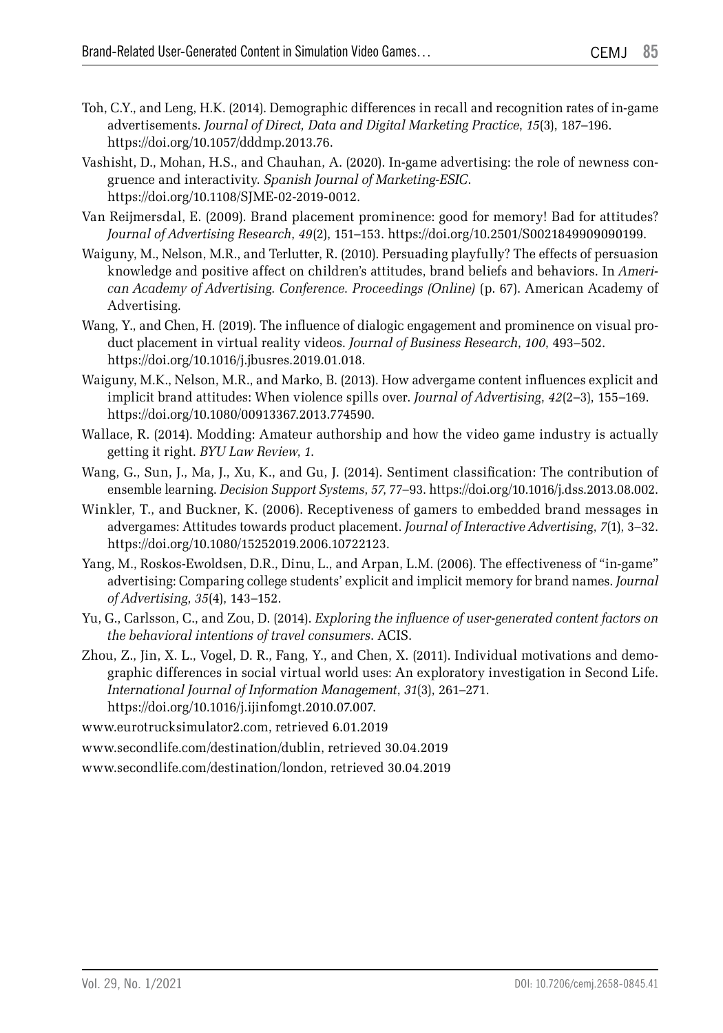- Toh, C.Y., and Leng, H.K. (2014). Demographic differences in recall and recognition rates of in-game advertisements. *Journal of Direct, Data and Digital Marketing Practice*, *15*(3), 187–196. https://doi.org/10.1057/dddmp.2013.76.
- Vashisht, D., Mohan, H.S., and Chauhan, A. (2020). In-game advertising: the role of newness congruence and interactivity. *Spanish Journal of Marketing-ESIC*. https://doi.org/10.1108/SJME-02-2019-0012.
- Van Reijmersdal, E. (2009). Brand placement prominence: good for memory! Bad for attitudes? *Journal of Advertising Research*, *49*(2), 151–153. https://doi.org/10.2501/S0021849909090199.
- Waiguny, M., Nelson, M.R., and Terlutter, R. (2010). Persuading playfully? The effects of persuasion knowledge and positive affect on children's attitudes, brand beliefs and behaviors. In *American Academy of Advertising. Conference. Proceedings (Online)* (p. 67). American Academy of Advertising.
- Wang, Y., and Chen, H. (2019). The influence of dialogic engagement and prominence on visual product placement in virtual reality videos. *Journal of Business Research*, *100*, 493–502. https://doi.org/10.1016/j.jbusres.2019.01.018.
- Waiguny, M.K., Nelson, M.R., and Marko, B. (2013). How advergame content influences explicit and implicit brand attitudes: When violence spills over. *Journal of Advertising*, *42*(2–3), 155–169. https://doi.org/10.1080/00913367.2013.774590.
- Wallace, R. (2014). Modding: Amateur authorship and how the video game industry is actually getting it right. *BYU Law Review*, *1*.
- Wang, G., Sun, J., Ma, J., Xu, K., and Gu, J. (2014). Sentiment classification: The contribution of ensemble learning. *Decision Support Systems*, *57*, 77–93. https://doi.org/10.1016/j.dss.2013.08.002.
- Winkler, T., and Buckner, K. (2006). Receptiveness of gamers to embedded brand messages in advergames: Attitudes towards product placement. *Journal of Interactive Advertising*, *7*(1), 3–32. https://doi.org/10.1080/15252019.2006.10722123.
- Yang, M., Roskos-Ewoldsen, D.R., Dinu, L., and Arpan, L.M. (2006). The effectiveness of "in-game" advertising: Comparing college students' explicit and implicit memory for brand names. *Journal of Advertising*, *35*(4), 143–152.
- Yu, G., Carlsson, C., and Zou, D. (2014). *Exploring the influence of user-generated content factors on the behavioral intentions of travel consumers*. ACIS.
- Zhou, Z., Jin, X. L., Vogel, D. R., Fang, Y., and Chen, X. (2011). Individual motivations and demographic differences in social virtual world uses: An exploratory investigation in Second Life. *International Journal of Information Management*, *31*(3), 261–271. https://doi.org/10.1016/j.ijinfomgt.2010.07.007.
- www.eurotrucksimulator2.com, retrieved 6.01.2019
- www.secondlife.com/destination/dublin, retrieved 30.04.2019

www.secondlife.com/destination/london, retrieved 30.04.2019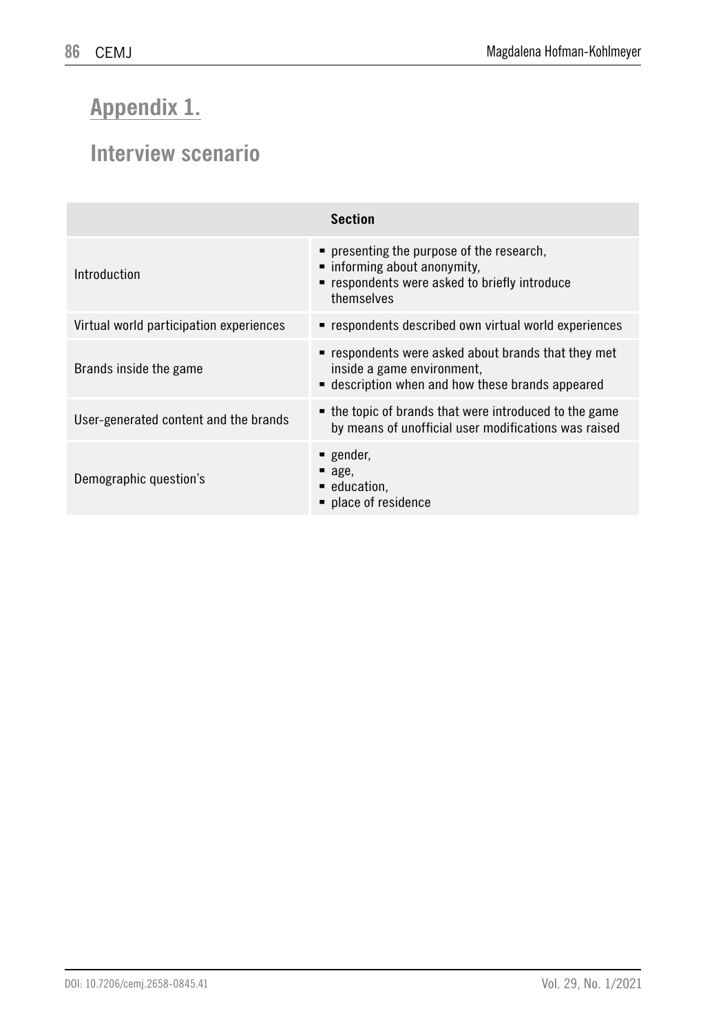# **Appendix 1.**

## **Interview scenario**

| <b>Section</b>                          |                                                                                                                                          |  |
|-----------------------------------------|------------------------------------------------------------------------------------------------------------------------------------------|--|
| Introduction                            | • presenting the purpose of the research,<br>• informing about anonymity,<br>■ respondents were asked to briefly introduce<br>themselves |  |
| Virtual world participation experiences | respondents described own virtual world experiences                                                                                      |  |
| Brands inside the game                  | " respondents were asked about brands that they met<br>inside a game environment.<br>• description when and how these brands appeared    |  |
| User-generated content and the brands   | • the topic of brands that were introduced to the game<br>by means of unofficial user modifications was raised                           |  |
| Demographic question's                  | gender,<br>$\blacksquare$ age.<br>education,<br>■ place of residence                                                                     |  |